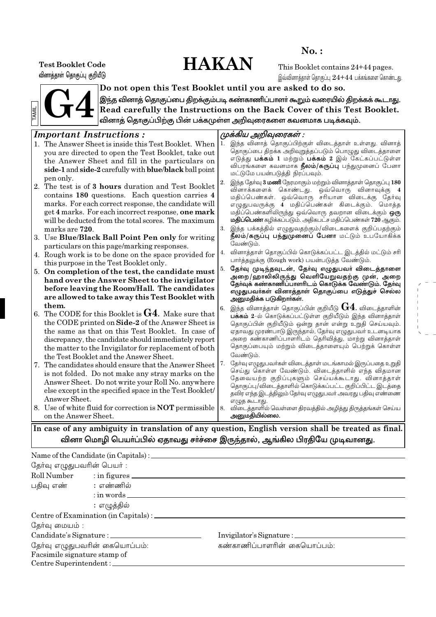# **HAKAN**

 $No.$ :

**Test Booklet Code** வினாத்தாள் தொகுப்பு குறியீடு

This Booklet contains 24+44 pages. இவ்வினாத்தாள் தொகுப்பு  $24 + 44$  பக்கங்களை கொண்டது.



Do not open this Test Booklet until you are asked to do so. இந்த வினாத் தொகுப்பை திறக்கும்படி கண்காணிப்பாளா் கூறும் வரையில் திறக்கக் கூடாது. Read carefully the Instructions on the Back Cover of this Test Booklet. வினாத் தொகுப்பிற்கு பின் பக்கமுள்ள அறிவுரைகளை கவனமாக படிக்கவும்.

# rtant Instructions

|     | <i>Important Instructions:</i>                                 |    | முக்கிய அறிவுரைகள் :                                                                                       |
|-----|----------------------------------------------------------------|----|------------------------------------------------------------------------------------------------------------|
|     | 1. The Answer Sheet is inside this Test Booklet. When          | 1. | இந்த வினாத் தொகுப்பிற்குள் விடைத்தாள் உள்ளது. வினாத்                                                       |
|     | you are directed to open the Test Booklet, take out            |    | தொகுப்பை திறக்க அறிவுறுத்தப்படும் பொழுது விடைத்தாளை                                                        |
|     | the Answer Sheet and fill in the particulars on                |    | எடுத்து <b>பக்கம் 1</b> மற்றும் <b>பக்கம் 2</b> இல் கேட்கப்பட்டுள்ள                                        |
|     |                                                                |    | விபரங்களை கவனமாக <b>நீலம்/கருப்பு</b> பந்துமுனைப் பேனா                                                     |
|     | side-1 and side-2 carefully with blue/black ball point         |    | மட்டுமே பயன்படுத்தி நிரப்பவும்.                                                                            |
|     | pen only.                                                      | 2. | இந்த தேர்வு 3 மணி நேரமாகும் மற்றும் வினாத்தாள் தொகுப்பு 180                                                |
|     | 2. The test is of 3 hours duration and Test Booklet            |    | வினாக்களைக் கொண்டது. ஒவ்வொரு வினாவுக்கு 4                                                                  |
|     | contains 180 questions. Each question carries 4                |    | மதிப்பெண்கள். ஒவ்வொரு சரியான விடைக்கு தேர்வு                                                               |
|     | marks. For each correct response, the candidate will           |    | எழுதுபவருக்கு 4 மதிப்பெண்கள் கிடைக்கும். மொத்த                                                             |
|     | get 4 marks. For each incorrect response, one mark             |    | மதிப்பெண்களிலிருந்து ஒவ்வொரு தவறான விடைக்கும் <b>ஒரு</b>                                                   |
|     | will be deducted from the total scores. The maximum            |    | மதிப்பெண் கழிக்கப்படும். அதிகபட்ச மதிப்பெண்கள் 720 ஆகும்.                                                  |
|     | marks are 720.                                                 | 3. | இந்த பக்கத்தில் எழுதுவதற்கும்/விடைகளைக் குறிப்பதற்கும்<br>நீலம்/கருப்பு பந்துமுனைப் பேனா மட்டும் உபயோகிக்க |
|     | 3. Use Blue/Black Ball Point Pen only for writing              |    | வேண்டும்.                                                                                                  |
|     | particulars on this page/marking responses.                    |    | வினாத்தாள் தொகுப்பில் கொடுக்கப்பட்ட இடத்தில் மட்டும் சரி                                                   |
|     | 4. Rough work is to be done on the space provided for          | 4. | பார்த்தலுக்கு (Rough work) பயன்படுத்த வேண்டும்.                                                            |
|     | this purpose in the Test Booklet only.                         | 5. | தேர்வு முடிந்தவுடன், தேர்வு எழுதுபவர் விடைத்தாளை                                                           |
|     | 5. On completion of the test, the candidate must               |    | அறை/ஹாலிலிருந்து வெளியேறுவதற்கு முன், அறை                                                                  |
|     | hand over the Answer Sheet to the invigilator                  |    | தோவக் கண்காணிப்பாளரிடம் கொடுக்க வேண்டும். தோ்வு                                                            |
|     | before leaving the Room/Hall. The candidates                   |    | எழுதுபவா்கள் வினாத்தாள் தொகுப்பை எடுத்துச் செல்ல                                                           |
|     | are allowed to take away this Test Booklet with                |    | அனுமதிக்க படுகிறாா்கள்.                                                                                    |
|     | them.                                                          | 6. | இந்த வினாத்தாள் தொகுப்பின் குறியீடு $\bf{G4}$ . விடைத்தாளின்                                               |
|     | 6. The CODE for this Booklet is $G4$ . Make sure that          |    | பக்கம் 2-ல் கொடுக்கப்பட்டுள்ள குறியீடும் இந்த வினாத்தாள்                                                   |
|     | the CODE printed on Side-2 of the Answer Sheet is              |    | தொகுப்பின் குறியீடும் ஒன்று தான் என்று உறுதி செய்யவும்.                                                    |
|     | the same as that on this Test Booklet. In case of              |    | ஏதாவது முரண்பாடு இருந்தால், தேர்வு எழுதுபவர் உடனடியாக                                                      |
|     | discrepancy, the candidate should immediately report           |    | அறை கண்காணிப்பாளரிடம் தெரிவித்து, மாற்று வினாத்தாள்                                                        |
|     | the matter to the Invigilator for replacement of both          |    | தொகுப்பையும் மற்றும் விடைத்தாளையும் பெற்றுக் கொள்ள                                                         |
|     | the Test Booklet and the Answer Sheet.                         |    | வேண்டும்.                                                                                                  |
| 17. | The candidates should ensure that the Answer Sheet             | 7. | தோ்வு எழுதுபவா்கள் விடைத்தாள் மடங்காமல் இருப்பதை உறுதி                                                     |
|     | is not folded. Do not make any stray marks on the              |    | செய்து கொள்ள வேண்டும். விடைத்தாளில் எந்த விதமான                                                            |
|     | Answer Sheet. Do not write your Roll No. anywhere              |    | தேவையற்ற குறிப்புகளும் செய்யக்கூடாது. வினாத்தாள்<br>தொகுப்பு/விடைத்தாளில் கொடுக்கப்பட்ட குறிப்பிட்ட இடத்தை |
|     | else except in the specified space in the Test Booklet/        |    | தவிர எந்த இடத்திலும் தேர்வு எழுதுபவர் அவரது பதிவு எண்ணை                                                    |
|     | Answer Sheet.                                                  |    | எழுத கூடாது.                                                                                               |
|     | 8. Use of white fluid for correction is <b>NOT</b> permissible | 8. | விடைத்தாளில் வெள்ளை திரவத்தில் அழித்து திருத்தங்கள் செய்ய                                                  |
|     | on the Answer Sheet.                                           |    | அனுமதியில்லை.                                                                                              |
|     | 1.11                                                           |    | 1.111<br>$-11 - 1$                                                                                         |

In case of any ambiguity in translation of any question, English version shall be treated as final. வினா மொழி பெயா்ப்பில் ஏதாவது சா்ச்சை இருந்தால், ஆங்கில பிரதியே முடிவானது.

### Name of the Candidate (in Capitals) : \_\_\_\_\_ தேர்வு எழுதுபவரின் பெயர் : Roll Number  $:$  in figures  $\overline{\phantom{a}}$ பதிவு எண் : எண்ணில்  $:$  in words  $\_$ : எழுத்தில் தேர்வு மையம் : Candidate's Signature : \_ Invigilator's Signature : \_\_\_\_ தேர்வு எழுதுபவரின் கையொப்பம்: கண்காணிப்பாளரின் கையொப்பம்: Facsimile signature stamp of Centre Superintendent: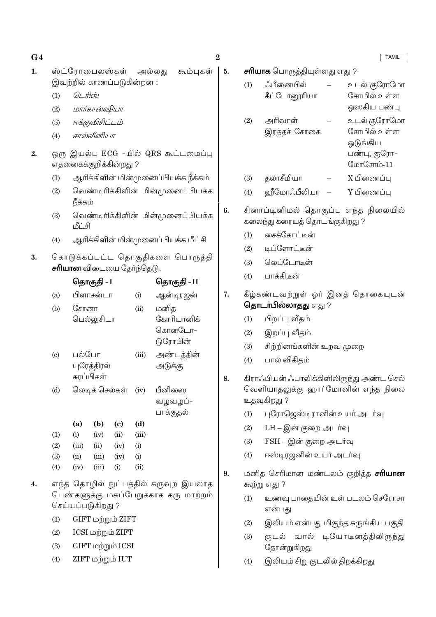$G<sub>4</sub>$  $\mathbf{1}$ .

- ஸ்ட்ரோபைலஸ்கள் அல்லகு கூம்புகள் | 5. இவற்றில் காணப்படுகின்றன :
	- டெரிஸ்  $(1)$
	- மார்கான்ஷியா  $(2)$
	- ஈக்குவிசிட்டம்  $(3)$
	- சால்வீனியா  $(4)$
- ஒரு இயல்பு ECG -யில் QRS கூட்டமைப்பு  $2.$ எதனைகக்குறிக்கின்றது ?
	- ஆரிக்கிளின் மின்முனைப்பியக்க நீக்கம்  $(1)$
	- வெண்டிரிக்கிளின் மின்முனைப்பியக்க  $(2)$ நீக்கம்
	- வெண்டிரிக்கிளின் மின்முனைப்பியக்க  $(3)$ மீட்சி
	- ஆரிக்கிளின் மின்முனைப்பியக்க மீட்சி  $(4)$
- கொடுக்கப்பட்ட தொகுதிகளை பொருத்தி 3. சரியான விடையை தேர்ந்தெடு.

|                           |                | தொகுதி - I                | தொகுதி - II |            |                                          |
|---------------------------|----------------|---------------------------|-------------|------------|------------------------------------------|
| (a)                       |                | பிளாசன்டா                 |             | (i)        | ஆன்டிரஜன்                                |
| (b)                       | சோனா           | பெல்லுசிடா                |             | (ii)       | மனித<br>கோரியானிக்<br>கொனடோ–<br>டுரோபின் |
| $\left( \text{c} \right)$ | பல்போ          | யுரேத்திரல்<br>சுரப்பிகள் |             | (iii)      | அண்டத்தின்<br>அடுக்கு                    |
| (d)                       | லெடிக் செல்கள் |                           |             | (iv)       | பீனிஸை<br>வழவழப்-<br>பாக்குதல்           |
|                           | (a)            | (b)                       | (c)         | (d)        |                                          |
| (1)                       | (i)            | (iv)                      | (ii)        | (iii)      |                                          |
| (2)                       | (iii)          | (ii)                      | (iv)        | (i)        |                                          |
| (3)                       | (ii)           | (iii)                     | (iv)        | (i)        |                                          |
| $\left( 4\right)$         | (iv)           | (iii)                     | (i)         | $\rm (ii)$ |                                          |

- $\overline{4}$ . எந்த தொழில் நுட்பத்தில் கருவுற இயலாத பெண்களுக்கு மகப்பேறுக்காக கரு மாற்றம் செய்யப்படுகிறது ?
	- GIFT மற்றும் ZIFT  $(1)$
	- $ICSI$  மற்றும்  $ZIFT$  $(2)$
	- $GIFT$  மற்றும்  $ICSI$  $(3)$
	- ZIFT மற்றும் IUT  $(4)$

 $\overline{2}$ 

|    |                                                                   |                                                                                                              |  | <b>TAMIL</b>                   |  |  |  |
|----|-------------------------------------------------------------------|--------------------------------------------------------------------------------------------------------------|--|--------------------------------|--|--|--|
| 5. |                                                                   | <b>சாியாக</b> பொருத்தியுள்ளது எது ?                                                                          |  |                                |  |  |  |
|    | (1)                                                               | ஂஃபீனையில்                                                                                                   |  | உடல் குரோமோ                    |  |  |  |
|    |                                                                   | கீட்டோனூரியா                                                                                                 |  | சோமில் உள்ள                    |  |  |  |
|    |                                                                   | அரிவாள்                                                                                                      |  | ஒஸகிய பண்பு                    |  |  |  |
|    | (2)                                                               | இரத்தச் சோகை                                                                                                 |  | உடல் குரோமோ<br>சோமில் உள்ள     |  |  |  |
|    |                                                                   |                                                                                                              |  | ஒடுங்கிய                       |  |  |  |
|    |                                                                   |                                                                                                              |  | பண்பு, குரோ-<br>மோசோம்-11      |  |  |  |
|    |                                                                   |                                                                                                              |  | X பிணைப்பு                     |  |  |  |
|    | (3)<br>(4)                                                        | தலாசீமியா<br>ஹீமோஃபீலியா —                                                                                   |  | Y பிணைப்பு                     |  |  |  |
|    |                                                                   |                                                                                                              |  |                                |  |  |  |
| 6. |                                                                   | சினாப்டினிமல் தொகுப்பு எந்த நிலையில்<br>கலைந்து கரையத் தொடங்குகிறது ?                                        |  |                                |  |  |  |
|    | (1)                                                               | சைக்கோட்டீன்                                                                                                 |  |                                |  |  |  |
|    |                                                                   | (2) டிப்ளோட்டீன்                                                                                             |  |                                |  |  |  |
|    | (3)                                                               | வெப்டோடீன்                                                                                                   |  |                                |  |  |  |
|    | (4)                                                               | பாக்கிடீன்                                                                                                   |  |                                |  |  |  |
| 7. | கீழ்கண்டவற்றுள் ஓர் இனத் தொகையுடன்<br><b>தொடா்பில்லாதது</b> எது ? |                                                                                                              |  |                                |  |  |  |
|    | (1)                                                               | பிறப்பு வீதம்                                                                                                |  |                                |  |  |  |
|    | (2)                                                               | இறப்பு வீதம்                                                                                                 |  |                                |  |  |  |
|    | (3)                                                               | சிற்றினங்களின் உறவு முறை                                                                                     |  |                                |  |  |  |
|    | (4)                                                               | பால் விகிதம்                                                                                                 |  |                                |  |  |  |
| 8. |                                                                   | கிராஃபியன் ஃபாலிக்கிளிலிருந்து அண்ட செல்<br>வெளியாதலுக்கு ஹார்மோனின் எந்த ந <mark>ி</mark> லை<br>உதவுகிறது ? |  |                                |  |  |  |
|    | (1)                                                               | புரோஜெஸ்டிரானின் உயர் அடர்வு                                                                                 |  |                                |  |  |  |
|    | (2)                                                               | LH – இன் குறை அடர்வு                                                                                         |  |                                |  |  |  |
|    | (3)                                                               | FSH – இன் குறை அடர்வு                                                                                        |  |                                |  |  |  |
|    | (4)                                                               | ஈஸ்டிரஜனின் உயர் அடர்வு                                                                                      |  |                                |  |  |  |
| 9. |                                                                   | மனித செரிமான மண்டலம் குறித்த <b>சரியான</b><br>கூற்று எது ?                                                   |  |                                |  |  |  |
|    | (1)                                                               | என்பது                                                                                                       |  | உணவு பாதையின் உள் படலம் செரோசா |  |  |  |
|    | (2)                                                               | இலியம் என்பது மிகுந்த சுருங்கிய பகுதி                                                                        |  |                                |  |  |  |
|    | (3)                                                               |                                                                                                              |  | குடல் வால் டியோடீனத்திலிருந்து |  |  |  |

இலியம் சிறு குடலில் திறக்கிறது  $(4)$ 

தோன்றுகிறது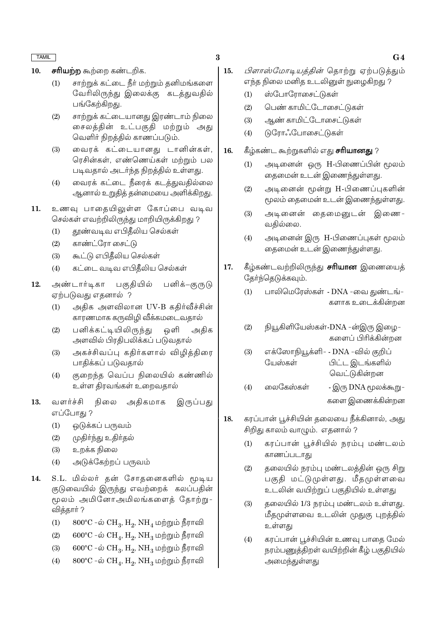- சரியற்ற கூற்றை கண்டறிக. 10.
	- சாற்றுக் கட்டை நீர் மற்றும் தனிமங்களை  $(1)$ வேரிலிருந்து இலைக்கு கடத்துவதில் பங்கேற்கிறது.
	- $(2)$ சாற்றுக் கட்டையானது இரண்டாம் நிலை சைலக்கின் உட்பகுகி மற்றும் அது வெளிர் நிறத்தில் காணப்படும்.
	- வைரக் கட்டையானது டானின்கள்,  $(3)$ ரெசின்கள், எண்ணெய்கள் மற்றும் பல படிவதால் அடர்ந்த நிறத்தில் உள்ளது.
	- வைரக் கட்டை நீரைக் கடத்துவதில்லை  $(4)$ ஆனால் உறுதித் தன்மையை அளிக்கிறது.
- உணவு பாதையிலுள்ள கோப்பை வடிவ  $11.$ செல்கள் எவற்றிலிருந்து மாறியிருக்கிறது ?
	- தூண்வடிவ எபிதீலிய செல்கள்  $(1)$
	- காண்ட்ரோ சைட்டு  $(2)$
	- $(3)$ கூட்டு எபிகீலிய செல்கள்
	- $(4)$ கட்டை வடிவ எபிதீலிய செல்கள்
- பனிக்–குருடு அண்டார்டிகா பகுதியில் 12. ஏற்படுவது எதனால் ?
	- அதிக அளவிலான UV-B கதிர்வீச்சின்  $(1)$ காரணமாக கருவிழி வீக்கமடைவதால்
	- $(2)$ பனிக்கட்டியிலிருந்து ஒளி அதிக அளவில் பிரதிபலிக்கப் படுவதால்
	- அகச்சிவப்பு ககிர்களால் விமிக்கிரை  $(3)$ பாதிக்கப் படுவதால்
	- குறைந்த வெப்ப நிலையில் கண்ணில்  $(4)$ உள்ள திரவங்கள் உறைவதால்
- வளர்ச்சி அதிகமாக 13. நிலை இருப்பது எப்போகு ?
	- $(1)$ ஒடுக்கப் பருவம்
	- முதிா்ந்து உதிா்தல்  $(2)$
	- உறக்க நிலை  $(3)$
	- அடுக்கேற்றப் பருவம்  $(4)$
- 14. S.L. மில்லர் தன் சோதனைகளில் மூடிய குடுவையில் இருந்து எவற்றைக் கலப்பதின் மூலம் அமினோஅமிலங்களைத் தோற்று-வித்தார் ?
	- $800^{\circ}$ C –ல்  $CH_3$ ,  $H_2$ ,  $NH_4$  மற்றும் நீராவி  $(1)$
	- $600^{\circ}$ C -ல்  $CH_A$ ,  $H_2$ ,  $NH_3$  மற்றும் நீராவி  $(2)$
	- $600^{\circ}$ C -ல்  $CH_3$ ,  $H_2$ ,  $NH_3$  மற்றும் நீராவி  $(3)$
	- $800^{\circ}$ C -ல்  $CH_{4}$ ,  $H_{2}$ ,  $NH_{3}$  மற்றும் நீராவி  $(4)$
- *பிளாஸ்மோடியக்கின்* கொற்று ஏற்படுக்கும்  $15.$ எந்த நிலை மனித உடலினுள் நுழைகிறது ?
	- $(1)$ ஸ்போரோசைட்டுகள்
	- $(2)$ பெண் காமிட்டோசைட்டுகள்
	- ஆண் காமிட்டோசைட்டுகள்  $(3)$
	- டுரோஃபோசைட்டுகள்  $(4)$
- 16. கீழ்கண்ட கூற்றுகளில் எது **சரியானது** ?
	- அடினைன் ஒரு H-பிணைப்பின் மூலம்  $(1)$ தைமைன் உடன் இணைந்துள்ளது.
	- $(2)$ அடினைன் மூன்று H-பிணைப்புகளின் மூலம் கைமைன் உடன் இணைந்துள்ளது.
	- அடினைன் தைமைனுடன் இணை- $(3)$ வதில்லை.
	- அடினைன் இரு H-பிணைப்புகள் மூலம்  $(4)$ தைமைன் உடன் இணைந்துள்ளது.
- கீழ்கண்டவற்றிலிருந்து **சாியான** இணையைத் 17. தேர்ந்தெடுக்கவும்.
	- பாலிமெரேஸ்கள் DNA -வை துண்டங்- $(1)$ களாக உடைக்கின்றன
	- $(2)$ நியூகிளியேஸ்கள்-DNA -ன்இரு இழை-களைப் பிரிக்கின்றன
	- $(3)$ எக்ஸோநியூக்ளி- - DNA -வில் குறிப் யேஸ்கள் பிட்ட இடங்களில் வெட்டுகின்றன
	- $(4)$ லைகேஸ்கள் - இரு DNA மூலக்கூறு-களை இணைக்கின்றன
- கரப்பான் பூச்சியின் தலையை நீக்கினால், அது 18. சிறிது காலம் வாழும். எதனால் ?
	- கரப்பான் பூச்சியில் நரம்பு மண்டலம்  $(1)$ காணப்படாகு
	- $(2)$ தலையில் நரம்பு மண்டலத்தின் ஒரு சிறு பகுதி மட்டுமுள்ளது. மீதமுள்ளவை உடலின் வயிற்றுப் பகுதியில் உள்ளது
	- தலையில் 1/3 நரம்பு மண்டலம் உள்ளது.  $(3)$ மீதமுள்ளவை உடலின் முதுகு புறத்தில் உள்ளது
	- கரப்பான் பூச்சியின் உணவு பாதை மேல்  $(4)$ நரம்பணுத்திறள் வயிற்றின் கீழ் பகுதியில் அமைந்துள்ளது

### $G<sub>4</sub>$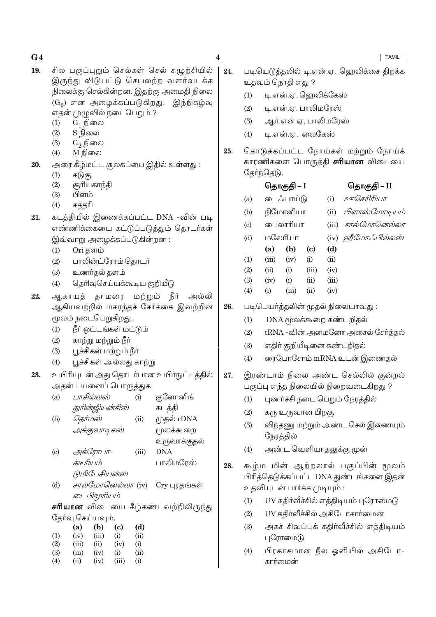- 19. சில பகுப்புறும் செல்கள் செல் சுழுற்சியில் இருந்து விடுபட்டு செயலற்ற வளர்வடக்க நிலைக்கு செல்கின்றன. இதற்கு அமைதி நிலை  $(G<sub>0</sub>)$  என அழைக்கப்படுகிறது. இந்நிகழ்வு எதன் முழுவில் நடைபெறும் ?
	- $G_1$  நிலை  $(1)$
	- S நிலை  $(2)$
	- $(3)$  $G_2$  நிலை
	- M நிலை  $(4)$
- அரை கீழ்மட்ட சூலகப்பை இதில் உள்ளது : 20.
	- $(1)$ கடுகு
	- $(2)$ சூரியகாந்தி
	- $(3)$ பிளம்
	- கக்கரி  $(4)$
- 21. கடத்தியில் இணைக்கப்பட்ட DNA -வின் படி எண்ணிக்கையை கட்டுப்படுத்தும் தொடர்கள் இவ்வாறு அழைக்கப்படுகின்றன :
	- Ori களம்  $(1)$
	- $(2)$ பாலின்ட்ரோம் கொடர்
	- $(3)$ உணர்தல் தளம்
	- தெரிவுசெய்யக்கூடிய குறியீடு  $(4)$
- 22. ஆகாயத் தாமரை மற்றும் நீர் அல்லி ஆகியவற்றில் மகரந்தச் சேர்க்கை இவற்றின் மூலம் நடைபெறுகிறது.
	- $(1)$ நீர் ஓட்டங்கள் மட்டும்
	- $(2)$ காற்று மற்றும் நீா்
	- $(3)$ பூச்சிகள் மற்றும் நீர்
	- $(4)$ பூச்சிகள் அல்லது காற்று
- உயிரியுடன் அது தொடர்பான உயிர்நுட்பத்தில் 23. அதன் பயனைப் பொருத்துக.
	- பாசில்லஸ்  $(a)$ குளோனிங்  $(i)$ துரின்ஜியன்சிஸ் கடத்தி
	- தெர்மஸ்  $(ii)$  $(b)$ முதல் rDNA அக்குவாடிகஸ் ரமலக்கூறை
	- உருவாக்குதல்  $(c)$ அக்ரோபா-**DNA**  $(iii)$ க்டீரியம் பாலிமரேஸ்
		- டுமிபேசியன்ஸ்
	- சால்மோனெல்லா (iv) Cry புரதங்கள்  $(d)$ டைபிமூரியம்

சரியான விடையை கீழ்கண்டவற்றிலிருந்து தேர்வு செய்யவும்.

|     | (a)   | (b)   | (c)   | (d)            |
|-----|-------|-------|-------|----------------|
| (1) | (iv)  | (iii) | (i)   | $\overline{u}$ |
| (2) | (iii) | (ii)  | (iv)  | (i)            |
| (3) | (iii) | (iv)  | (i)   | (ii)           |
| (4) | (ii)  | (iv)  | (iii) | $\rm (i)$      |

 $\overline{\mathbf{4}}$ 

26.

- 24. படியெடுக்கலில் டி.என்.ஏ. ஹெலிக்சை கிறக்க உதவும் நொதி எது ?
	- டி.என்.ஏ. ஹெலிக்கேஸ்  $(1)$
	- $(2)$ டி.என்.ஏ. பாலிமரேஸ்
	- $(3)$ ஆர்.என்.ஏ. பாலிமரேஸ்
	- $(4)$ டி.என்.ஏ. லைகேஸ்
- கொடுக்கப்பட்ட நோய்கள் மற்றும் நோய்க் 25. காரணிகளை பொருத்தி **சரியான** விடையை கேர்ந்தெடு.

|                            |         | தொகுதி – I     |                            |       | தொகுதி – II                       |
|----------------------------|---------|----------------|----------------------------|-------|-----------------------------------|
| (a)                        |         | டைஃபாய்டு      |                            | (i)   | ஊசெரிரியா                         |
| (b)                        |         | நிமோனியா       |                            | (ii)  | பிளாஸ்மோடியம்                     |
| $\left( \mathrm{c}\right)$ |         | பைலாரியா       |                            | (iii) | சால்மோனெல்லா                      |
| (d)                        | மலேரியா |                |                            |       | (iv) ஹீமோஃபில்லஸ்                 |
|                            | (a)     | (b)            | $\left( \mathrm{c}\right)$ | (d)   |                                   |
| (1)                        |         | $(iii)$ $(iv)$ | (i)                        | (ii)  |                                   |
| (2)                        | (ii)    | (i)            | (iii)                      | (iv)  |                                   |
| (3)                        | (iv)    | (i)            | (ii)                       | (iii) |                                   |
| (4)                        | (i)     | (iii)          | (ii)                       | (iv)  |                                   |
|                            |         |                |                            |       | படிபெயா்த்தலின் முதல் நிலையாவது : |
| (1)                        |         |                |                            |       | DNA மூலக்கூறை கண்டறிதல்           |
| (2)                        |         |                |                            |       | tRNA -வின் அமைனோ அசைல் சேர்த்தல்  |
|                            |         |                |                            |       |                                   |

- $(3)$ எதிர் குறியீடினை கண்டறிதல்
- ரைபோசோம் mRNA உடன் இணைதல்  $(4)$

### இரண்டாம் நிலை அண்ட செல்லில் குன்றல் 27. பகுப்பு எந்த நிலையில் நிறைவடைகிறது ?

- புணர்ச்சி நடை பெறும் நேரத்தில்  $(1)$
- $(2)$ கரு உருவான பிறகு
- விந்தணு மற்றும் அண்ட செல் இணையும்  $(3)$ நேரத்தில்
- அண்ட வெளியாதலுக்கு முன்  $(4)$
- 28. கூழ்ம மின் ஆற்றலால் பகுப்பின் மூலம் பிரித்தெடுக்கப்பட்ட DNA துண்டங்களை இதன் உதவியுடன் பார்க்க முடியும் :
	- UV கதிர்வீச்சில் எத்திடியம் புரோமைடு  $(1)$
	- $(2)$ UV கதிர்வீச்சில் அசிடோகார்மைன்
	- அகச் சிவப்புக் கதிர்வீச்சில் எக்திடியம்  $(3)$ புரோமைடு
	- பிரகாசமான நீல ஒளியில் அசிடோ- $(4)$ கார்மைன்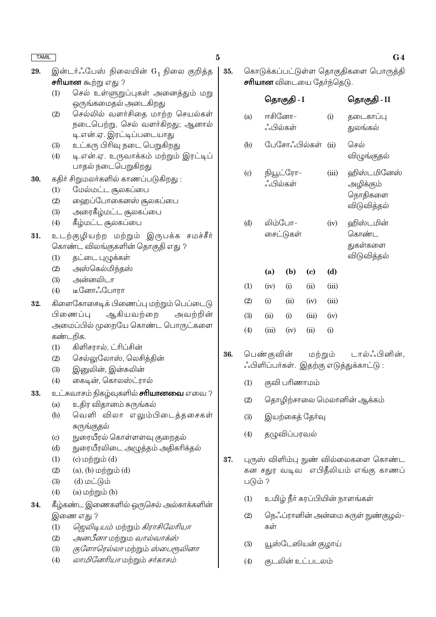| <b>TAMIL</b> |                                                                                                                                                    | $\bf{5}$ |         |                                  |               |                            |       | G <sub>4</sub>                                          |
|--------------|----------------------------------------------------------------------------------------------------------------------------------------------------|----------|---------|----------------------------------|---------------|----------------------------|-------|---------------------------------------------------------|
| 29.          | இன்டர்ஃபேஸ் நிலையின் G <sub>1</sub> நிலை குறித்த<br><b>சரியான</b> கூற்று எது ?                                                                     | 35.      |         | <b>சாியான</b> விடையை தேர்ந்தெடு. |               |                            |       | கொடுக்கப்பட்டுள்ள தொகுதிகளை பொருத்தி                    |
|              | செல் உள்ளுறுப்புகள் அனைத்தும் மறு<br>(1)<br>ஒருங்கமைதல் அடைகிறது                                                                                   |          |         |                                  | தொகுதி - I    |                            |       | தொகுதி - II                                             |
|              | செல்லில் வளர்சிதை மாற்ற செயல்கள்<br>(2)<br>நடைபெற்று, செல் வளர்கிறது; ஆனால்<br>டி.என்.ஏ. இரட்டிப்படையாது                                           |          | (a)     | ஈசினோ–<br>ஂஂபில்கள்              |               |                            | (i)   | தடைகாப்பு<br>துலங்கல்                                   |
|              | உட்கரு பிரிவு நடை பெறுகிறது<br>(3)<br>டி.என்.ஏ. உருவாக்கம் மற்றும் இரட்டிப்<br>(4)                                                                 |          | (b)     |                                  |               | பேசோஃபில்கள் (ii)          |       | செல்<br>விழுங்குதல்                                     |
| 30.          | பாதல் நடைபெறுகிறது<br>கதிர் சிறுமலர்களில் காணப்படுகிறது:<br>மேல்மட்ட சூலகப்பை<br>(1)<br>ஹைப்போகைனஸ் சூலகப்பை<br>(2)<br>அரைகீழ்மட்ட சூலகப்பை<br>(3) |          | (c)     | ஂஂபில்கள்                        | நியூட்ரோ–     |                            | (iii) | ஹிஸ்டமினேஸ்<br>அழிக்கும்<br>நொதிகளை<br>விடுவித்தல்      |
| 31.          | கீழ்மட்ட சூலகப்பை<br>(4)<br>உடற்குழியற்ற மற்றும் இருபக்க சமச்சீர்<br>கொண்ட விலங்குகளின் தொகுதி எது ?<br>(1)<br>தட்டை புழுக்கள்                     |          | (d)     | லிம்போ–                          | சைட்டுகள்     |                            | (iv)  | ஹிஸ்டமின்<br>கொண்ட<br>துகள்களை<br>விடுவித்தல்           |
|              | அஸ்கெல்மிந்தஸ்<br>(2)                                                                                                                              |          |         | (a)                              | (b)           | $\left( \mathrm{e}\right)$ | (d)   |                                                         |
|              | அன்னலிடா<br>(3)                                                                                                                                    |          | (1)     | (iv)                             | (i)           | (ii)                       | (iii) |                                                         |
| 32.          | டீனோஃபோரா<br>(4)<br>கிளைகோசைடிக் பிணைப்பு மற்றும் பெப்டைடு                                                                                         |          | (2)     | (i)                              | (ii)          | (iv)                       | (iii) |                                                         |
|              | ஆகியவற்றை<br>அவற்றின்<br>பிணைப்பு                                                                                                                  |          | (3)     | (ii)                             | (i)           | (iii)                      | (iv)  |                                                         |
|              | அமைப்பில் முறையே கொண்ட பொருட்களை                                                                                                                   |          |         | (iii)                            |               | (ii)                       |       |                                                         |
|              | கண்டறிக.                                                                                                                                           |          | (4)     |                                  | (iv)          |                            | (i)   |                                                         |
|              | கிளிசரால், ட்ரிப்சின்<br>(1)<br>செல்லுலோஸ், லெசித்தின்<br>(2)<br>இனுலின், இன்சுலின்<br>(3)<br>கைடின், கொலஸ்ட்ரால்<br>(4)                           | 36.      | (1)     | பெண்குவின்                       | குவி பரிணாமம் | மற்றும்                    |       | டால்ஃபினின்,<br>ஃபிளிப்பா்கள். இதற்கு எடுத்துக்காட்டு : |
| 33.          | உட்சுவாசம் நிகழ்வுகளில் <b>சாியானவை</b> எவை ?                                                                                                      |          |         |                                  |               |                            |       |                                                         |
|              | உதிர விதானம் சுருங்கல்<br>(a)                                                                                                                      |          | (2)     |                                  |               |                            |       | தொழிற்சாலை மெலானின் ஆக்கம்                              |
|              | வெளி விலா எலும்பிடைத்தசைகள்<br>(b)                                                                                                                 |          | (3)     |                                  |               | இயற்கைத் தேர்வு            |       |                                                         |
|              | சுருங்குதல்<br>நுரையீரல் கொள்ளளவு குறைதல்<br>$\left( \mathrm{c}\right)$<br>நுரையீரலிடை அழுத்தம் அதிகரிக்தல்<br>(d)                                 |          | (4)     |                                  | தழுவிப்பரவல்  |                            |       |                                                         |
|              | $(c)$ மற்றும் $(d)$<br>(1)                                                                                                                         | 37.      |         |                                  |               |                            |       | புருஸ் விளிம்பு நுண் வில்லைகளை கொண்ட                    |
|              | $(a)$ , $(b)$ மற்றும் $(d)$<br>(2)                                                                                                                 |          |         |                                  |               |                            |       | கன சதுர வடிவ எபிதீலியம் எங்கு காணப்                     |
|              | $(d)$ மட்டும்<br>(3)                                                                                                                               |          | படும் ? |                                  |               |                            |       |                                                         |
|              | $(a)$ மற்றும் $(b)$<br>(4)                                                                                                                         |          | (1)     |                                  |               |                            |       | உமிழ் நீா் சுரப்பியின் நாளங்கள்                         |
| 34.          | கீழ்கண்ட இணைகளில் ஒருசெல் அல்காக்களின்                                                                                                             |          | (2)     |                                  |               |                            |       | நெஃப்ரானின் அன்மை சுருள் நுண்குழல்–                     |
|              | இணை எது ?<br><i>ஜெலிடியம்</i> மற்றும் <i>கிராசிலேரியா</i><br>(1)                                                                                   |          |         | கள்                              |               |                            |       |                                                         |
|              | <i>அனபீனா</i> மற்றும <i>வால்வாக்ஸ்</i><br>(2)                                                                                                      |          |         |                                  |               |                            |       |                                                         |
|              | குளோரெல்லா மற்றும் ஸ்பைரூலினா<br>(3)                                                                                                               |          | (3)     |                                  |               | யூஸ்டேஸியன் குழாய்         |       |                                                         |
|              | லாமினேரியா மற்றும் சர்காசம்<br>(4)                                                                                                                 |          | (4)     |                                  |               | குடலின் உட்படலம்           |       |                                                         |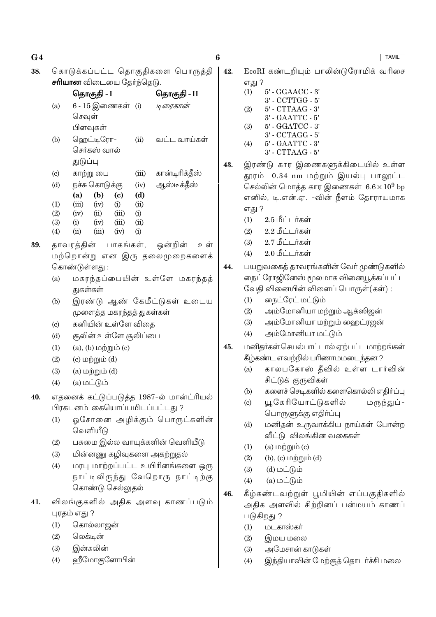38. கொடுக்கப்பட்ட கொகுதிகளை பொருத்தி சரியான விடையை தேர்ந்தெடு.

|                           |          | தொகுதி - I     |               |       | தொகுதி - II    |
|---------------------------|----------|----------------|---------------|-------|----------------|
| (a)                       |          |                | 6 - 15 இணைகள் | (i)   | டிரைகான்       |
|                           | செவுள்   |                |               |       |                |
|                           |          | பிளவுகள்       |               |       |                |
| (b)                       |          | ஹெட்டிரோ–      |               | (ii)  | வட்ட வாய்கள்   |
|                           |          | செர்கஸ் வால்   |               |       |                |
|                           | துடுப்பு |                |               |       |                |
| $\left( \text{c} \right)$ |          | காற்று பை      |               | (iii) | கான்டிரிக்தீஸ் |
| (d)                       |          | நச்சு கொடுக்கு |               | (iv)  | ஆஸ்டீக்தீஸ்    |
|                           | (a)      | (b)            | (c)           | (d)   |                |
| (1)                       | (iii)    | (iv)           | (i)           | (ii)  |                |
| (2)                       | (iv)     | (ii)           | (iii)         | (i)   |                |
| (3)                       | (i)      | (iv)           | (iii)         | (ii)  |                |
| (4)                       | (ii)     | (iii)          | (iv)          | (i)   |                |
|                           |          |                |               |       |                |

- 39. காவரக்கின் பாகங்கள், ஒன்றின் உள் மற்றொன்று என இரு தலைமுறைகளைக் கொண்டுள்ளது:
	- மகரந்தப்பையின் உள்ளே மகரந்தத்  $(a)$ துகள்கள்
	- இரண்டு ஆண் கேமீட்டுகள் உடைய  $(b)$ முளைத்த மகரந்தத் துகள்கள்
	- கனியின் உள்ளே விதை  $(c)$
	- $(d)$ சூலின் உள்ளே சூலிப்பை
	- $(1)$  $(a)$ ,  $(b)$  மற்றும்  $(c)$
	- $(c)$  மற்றும்  $(d)$  $(2)$
	- $(a)$  மற்றும் $(d)$  $(3)$
	- $(4)$  $(a)$  மட்டும்
- எதனைக் கட்டுப்படுத்த 1987-ல் மான்ட்ரியல் 40. பிரகடனம் கையொப்பமிடப்பட்டது ?
	- $(1)$ ஓசோனை அழிக்கும் பொருட்களின் வெளியீடு
	- பசுமை இல்ல வாயுக்களின் வெளியீடு  $(2)$
	- $(3)$ மின்னணு கழிவுகளை அகற்றுதல்
	- மரபு மாற்றப்பட்ட உயிரினங்களை ஒரு  $(4)$ நாட்டிலிருந்து வேறொரு நாட்டிற்கு கொண்டு செல்லுதல்
- விலங்குகளில் அதிக அளவு காணப்படும் 41. புரதம் எது ?
	- $(1)$ கொல்லாஜன்
	- $(2)$ லெக்டின்
	- இன்சுலின்  $(3)$
	- ஹீமோகுளோபின்  $(4)$

 $42.$ EcoRI கண்டரியும் பாலின்டுரோமிக் வரிசை எது ?

- $5'$  GGAACC  $3'$  $(1)$ 3' - CCTTGG - 5' 5' - CTTAAG - 3'  $(2)$ 3' - GAATTC - 5'  $5^{\circ}$  - GGATCC -  $3^{\circ}$  $(3)$  $3'$  -  $\rm CCTAGG$  -  $5'$
- $5'$   $\text{GAATTC}$   $3'$  $(4)$  $3'$  - CTTAAG -  $5'$
- இரண்டு கார இணைகளுக்கிடையில் உள்ள 43. தூரம் 0.34 nm மற்றும் இயல்பு பாலூட்ட செல்லின் மொத்த கார இணைகள்  $6.6 \times 10^9$  bp எனில், டி.என்.ஏ. -வின் நீளம் கோராயமாக எது ?
	- $(1)$ 2.5 மீட்டர்கள்
	- $(2)$  $2.2181 + \pi$ கள்
	- 2.7 மீட்டர்கள்  $(3)$
	- 2.0 மீட்டர்கள்  $(4)$
- பயறுவகைத் தாவரங்களின் வேர் முண்டுகளில் 44. நைட்ரோஜினேஸ் மூலமாக வினையூக்கப்பட்ட வேதி வினையின் விளைப் பொருள்(கள்) :
	- நைட்ரேட் மட்டும்  $(1)$
	- அம்மோனியா மற்றும் ஆக்ஸிஜன்  $(2)$
	- அம்மோனியா மற்றும் ஹைட்ரஜன்  $(3)$
	- அம்மோனியா மட்டும்  $(4)$
- மனிதர்கள் செயல்பாட்டால் ஏற்பட்ட மாற்றங்கள் 45. கீழ்கண்ட எவற்றில் பரிணாமமடைந்தன ?
	- காலபகோஸ் தீவில் உள்ள டார்வின்  $(a)$ சிட்டுக் குருவிகள்
	- களைச் செடிகளில் களைகொல்லி எதிர்ப்பு  $(b)$
	- யூகேரியோட்டுகளில் மருந்துப் - $\left( \mathrm{c}\right)$ பொருளுக்கு எதிர்ப்பு
	- மனிதன் உருவாக்கிய நாய்கள் போன்ற  $(d)$ வீட்டு விலங்கின வகைகள்
	- $(1)$  $(a)$  மற்றும் $(c)$
	- $(2)$ (b),  $(c)$  மற்றும்  $(d)$
	- $(d)$  மட்டும்  $(3)$
	- $(a)$  மட்டும்  $(4)$
- கீழ்கண்டவற்றுள் பூமியின் எப்பகுதிகளில் 46. அதிக அளவில் சிற்றினப் பன்மயம் காணப் படுகிறது ?
	- மடகாஸ்கர்  $(1)$
	- இமய மலை  $(2)$
	- $(3)$ அமேசான் காடுகள்
	- இந்தியாவின் மேற்குத் தொடர்ச்சி மலை  $(4)$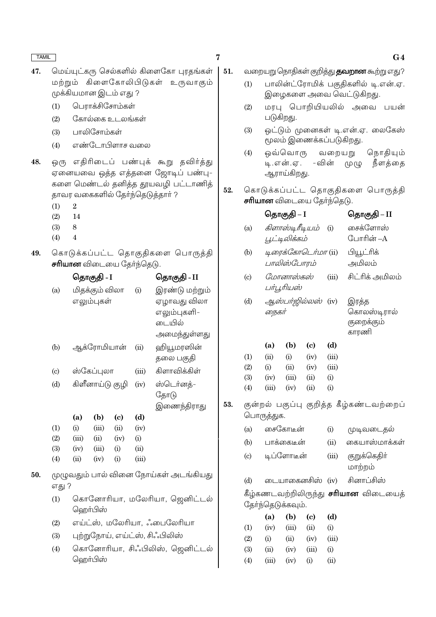- மெய்யுட்கரு செல்களில் கிளைகோ புரகங்கள் 47. மற்றும் கிளைகோலிபிடுகள் உருவாகும் முக்கியமான இடம் எது ?
	- பொாக்சிசோம்கள்  $(1)$
	- கோல்கை உடலங்கள்  $(2)$
	- $(3)$ பாலிசோம்கள்
	- எண்டோபிளாச வலை  $(4)$
- ஒரு எதிரிடைப் பண்புக் கூறு தவிர்த்து 48. ஏனையவை ஒத்த எத்தனை ஜோடிப் பண்பு-களை மெண்டல் தனித்த தூயவழி பட்டாணித் தாவர வகைகளில் தேர்ந்தெடுத்தார் ?
	- $(1)$  $\overline{2}$
	- $(2)$  $14$
	- $(3)$ 8
	- $(4)$  $\overline{4}$
- 49. கொடுக்கப்பட்ட தொகுதிகளை பொருத்தி சரியான விடையை தேர்ந்தெடு.

|                   |       | தொகுதி - I      |          |       | தொகுதி - II    |
|-------------------|-------|-----------------|----------|-------|----------------|
| (a)               |       | மிதக்கும் விலா  |          | (i)   | இரண்டு மற்றும் |
|                   |       | எலும்புகள்      |          |       | ஏழாவது விலா    |
|                   |       |                 |          |       | எலும்புகளி–    |
|                   |       |                 |          |       | டையில்         |
|                   |       |                 |          |       | அமைந்துள்ளது   |
| (b)               |       | ஆக்ரோமியான்     |          | (ii)  | ஹியூமரஸின்     |
|                   |       |                 |          |       | தலை பகுதி      |
| (c)               |       | ஸ்கேப்புலா      |          | (iii) | கிளாவிக்கிள்   |
| (d)               |       | கிளீனாய்டு குழி |          | (iv)  | ஸ்டெர்னத்-     |
|                   |       |                 |          |       | தோடு           |
|                   |       |                 |          |       | இணைந்திராது    |
|                   | (a)   | (b)             | (c)      | (d)   |                |
| (1)               | (i)   | (iii)           | (ii)     | (iv)  |                |
| (2)               | (iii) | (ii)            | (iv)     | (i)   |                |
| (3)               | (iv)  | (iii)           | $\rm(i)$ | (ii)  |                |
| $\left( 4\right)$ | (ii)  | (iv)            | $\rm(i)$ | (iii) |                |

- முழுவதும் பால் வினை நோய்கள் அடங்கியது 50. எது ?
	- கொனோரியா, மலேரியா, ஜெனிட்டல்  $(1)$ வெரா்பிஸ்
	- எய்ட்ஸ், மலேரியா, ஃபைலேரியா  $(2)$
	- புற்றுநோய், எய்ட்ஸ், சிஃபிலிஸ்  $(3)$
	- கொனோரியா, சிஃபிலிஸ், ஜெனிட்டல்  $(4)$ வெரா்பிஸ்
- வறையறு நொதிகள் குறித்து **தவறான** கூற்று எது? 51.
	- பாலின்ட்ரோமிக் பகுதிகளில் டி.என்.ஏ.  $(1)$ இழைகளை அவை வெட்டுகிறது.
	- மரபு பொறியியலில் அவை பயன்  $(2)$ படுகிறது.
	- ஒட்டும் முனைகள் டி.என்.ஏ. லைகேஸ்  $(3)$ மூலம் இணைக்கப்படுகிறது.
	- ஒவ்வொரு வறையறு நொதியும்  $(4)$ டி.என்.ஏ. – வின் நீளத்தை முழு ஆராய்கிறது.
- கொடுக்கப்பட்ட தொகுதிகளை பொருத்தி 52. **சரியான** விடையை தேர்ந்தெடு.

|                            |            | ⊌பதாகுது – I      |                             |       | ⊌ுதாகுது – 11                               |
|----------------------------|------------|-------------------|-----------------------------|-------|---------------------------------------------|
| (a)                        |            |                   | <i>கிளாஸ்டிரீடியம்</i> (i)  |       | சைக்ளோஸ்                                    |
|                            |            | பூட்டிலிக்கம்     |                             |       | போரின் –A                                   |
| (b)                        |            |                   | டிரைக்கோடெர்மா (ii)         |       | பியூட்ரிக்                                  |
|                            |            | பாலிஸ்போரம்       |                             |       | அமிலம்                                      |
| $\left( \mathrm{c}\right)$ |            | மோனாஸ்கஸ்         |                             | (iii) | சிட்ரிக் அமிலம்                             |
|                            |            | பர்பூரியஸ்        |                             |       |                                             |
| (d)                        |            |                   | ஆஸ்பர்ஜில்லஸ் (iv)          |       | இரத்த                                       |
|                            | நைகர்      |                   |                             |       | கொலஸ்டிரால்                                 |
|                            |            |                   |                             |       | குறைக்கும்                                  |
|                            |            |                   |                             |       | காரணி                                       |
|                            | (a)        | (b)               | (c)                         | (d)   |                                             |
| (1)                        | (ii)       | (i)               | (iv)                        | (iii) |                                             |
| (2)                        | (i)        | (ii)              | (iv)                        | (iii) |                                             |
| (3)                        | (iv)       | (iii)             | (ii)                        | (i)   |                                             |
| (4)                        | (iii)      | (iv)              | (ii)                        | (i)   |                                             |
|                            |            |                   |                             |       | குன்றல் பகுப்பு குறித்த கீழ்கண்டவற்றைப்     |
|                            | பொருத்துக. |                   |                             |       |                                             |
| (a)                        |            | சைகோடீன்          |                             | (i)   | முடிவடைதல்                                  |
| (b)                        |            | பாக்கைடீன்        |                             | (ii)  | கையாஸ்மாக்கள்                               |
| (c)                        |            | டிப்ளோடீன்        |                             | (iii) | குறுக்கெதிா்                                |
|                            |            |                   |                             |       | மாற்றம்                                     |
| (d)                        |            |                   | டையாகைனசிஸ்                 | (iv)  | சினாப்சிஸ்                                  |
|                            |            |                   |                             |       | கீழ்கணடவற்றிலிருந்து <b>சரியான</b> விடையைத் |
|                            |            | தோ்ந்தெடுக்கவும். |                             |       |                                             |
|                            | (a)        | (b)               | $\left( \mathbf{c} \right)$ | (d)   |                                             |
| (1)                        | (iv)       | (iii)             | (ii)                        | (i)   |                                             |
| (2)                        | (i)        | (ii)              | (iv)                        | (iii) |                                             |
| (3)                        | (ii)       | (iv)              | (iii)                       | (i)   |                                             |
| (4)                        | (iii)      | (iv)              | (i)                         | (ii)  |                                             |

53.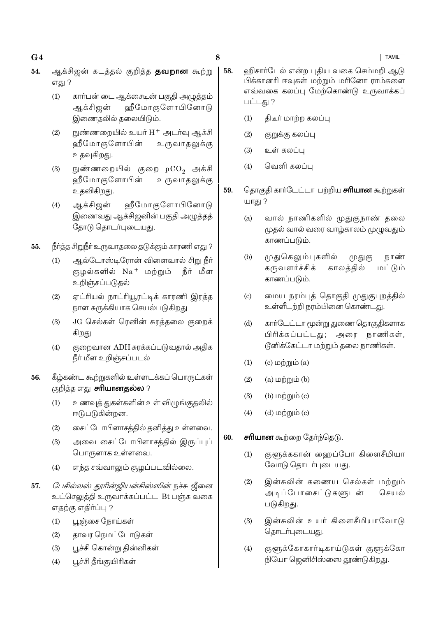8

- ஆக்சிஜன் கடத்தல் குறித்த **தவறான** கூற்று 54. எது ?
	- $(1)$ கார்பன் டை ஆக்சைடின் பகுதி அழுத்தம் ஆக்சிஜன் ஹீமோகுளோபினோடு இணைதலில் தலையிடும்.
	- $(2)$ நுண்ணறையில் உயர் H+ அடர்வு ஆக்சி ஹீமோகுளோபின் உருவாதலுக்கு உதவுகிறது.
	- நுண்ணறையில் குறை pCO<sub>2</sub> அக்சி  $(3)$ ஹீமோகுளோபின் உருவாதலுக்கு உதவிகிறது.
	- ஹீமோகுளோபினோடு ஆக்சிஜன்  $(4)$ இணைவது ஆக்சிஜனின் பகுதி அழுத்தத் தோடு தொடர்புடையது.
- நீர்த்த சிறுநீர் உருவாதலை தடுக்கும் காரணி எது ? 55.
	- ஆல்டோஸ்டிரோன் விளைவால் சிறு நீர்  $(1)$ குழல்களில் Na+ மற்றும் நீர் மீள உறிஞ்சப்படுதல்
	- $(2)$ ஏட்ரியல் நாட்ரியூரட்டிக் காரணி இரத்த நாள சுருக்கியாக செயல்படுகிறது
	- JG செல்கள் ரெனின் சுரத்தலை குறைக்  $(3)$ கிறது
	- குறைவான ADH சுரக்கப்படுவதால் அதிக  $(4)$ நீா் மீள உறிஞ்சப்படல்
- கீழ்கண்ட கூற்றுகளில் உள்ளடக்கப் பொருட்கள் 56. குறித்த எது **சரியானதல்ல** ?
	- உணவுத் துகள்களின் உள் விழுங்குதலில்  $(1)$ ஈடுபடுகின்றன.
	- சைட்டோபிளாசத்தில் தனித்து உள்ளவை.  $(2)$
	- அவை சைட்டோபிளாசக்கில் இருப்புப்  $(3)$ பொருளாக உள்ளவை.
	- எந்த சவ்வாலும் சூழப்படவில்லை.  $(4)$
- *பேசில்லஸ் தூரின்ஜியன்சிஸ்ஸின்* நச்சு ஜீனை 57. உட்செலுத்தி உருவாக்கப்பட்ட Bt பஞ்சு வகை எதற்கு எதிர்ப்பு ?
	- பூஞ்சை நோய்கள்  $(1)$
	- தாவர நெமட்டோடுகள்  $(2)$
	- $(3)$ பூச்சி கொன்று தின்னிகள்
	- பூச்சி தீங்குயிரிகள்  $(4)$
- <u> விசார்டேல் என்ற புதிய வகை செம்மறி ஆடு</u> 58. பிக்கானரி ஈவுகள் மற்றும் மரினோ ராம்களை எவ்வகை கலப்பு மேற்கொண்டு உருவாக்கப் பட்டது ?
	- $(1)$ திடீர் மாற்ற கலப்பு
	- $(2)$ குறுக்கு கலப்பு
	- உள் கலப்பு  $(3)$
	- வெளி கலப்பு  $(4)$
- 59. தொகுதி கார்டேட்டா பற்றிய **சரியான** கூற்றுகள் யாது ?
	- வால் நாணிகளில் முதுகுநாண் தலை  $(a)$ முதல் வால் வரை வாழ்காலம் முழுவதும் காணப்படும்.
	- முதுகெலும்புகளில்  $(b)$ நாண் முதுகு கருவளர்ச்சிக் காலத்தில் மட்டும் காணப்படும்.
	- மைய நரம்புத் தொகுதி முதுகுபுறத்தில்  $(c)$ உள்ளீடற்றி நரம்பினை கொண்டது.
	- $(d)$ காா்டேட்டா மூன்று துணை தொகுதிகளாக பிரிக்கப்பட்டது; அரை நாணிகள், டூனிக்கேட்டா மற்றும் தலை நாணிகள்.
	- $(1)$  $(c)$  மற்றும் $(a)$
	- $(2)$  $(a)$  மற்றும் $(b)$
	- $(3)$ (b)  $\omega$ ற்றும் (c)
	- $(d)$  மற்றும்  $(c)$  $(4)$
- **சரியான** கூற்றை தேர்ந்தெடு. 60.
	- குளுக்ககான் ஹைப்போ கிளைசீமியா  $(1)$ வோடு தொடர்புடையது.
	- இன்சுலின் கணைய செல்கள் மற்றும்  $(2)$ அடிப்போசைட்டுகளுடன் செயல் படுகிறது.
	- இன்சுலின் உயர் கிளைசீமியாவோடு  $(3)$ தொடர்புடையது.
	- குளூக்கோகார்டிகாய்டுகள் குளூக்கோ  $(4)$ நியோ ஜெனிசிஸ்ஸை தூண்டுகிறது.

### **TAMIL**

# $G<sub>4</sub>$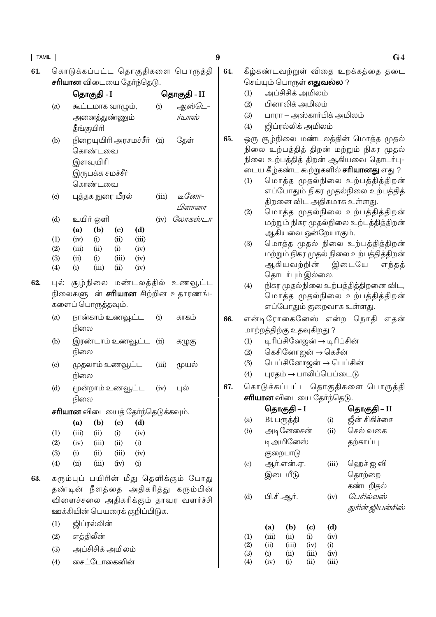62.

கொடுக்கப்பட்ட தொகுதிகளை பொருத்தி 61. **சரியான** விடையை தேர்ந்தெடு.

|                            |       | தொகுதி - I         |                             | தொகுதி - II                              |        |                                           |  |
|----------------------------|-------|--------------------|-----------------------------|------------------------------------------|--------|-------------------------------------------|--|
| (a)                        |       |                    | கூட்டமாக வாழும்,            | (i)                                      | ஆஸ்டெ- |                                           |  |
|                            |       |                    | அனைத்துண்ணும <mark>்</mark> |                                          |        | ர்யாஸ்                                    |  |
|                            |       | தீங்குயிரி         |                             |                                          |        |                                           |  |
| (b)                        |       |                    |                             | நிறையுயிரி அரசமச்சீர்                    | (ii)   | தேள்                                      |  |
|                            |       | கொண்டவை            |                             |                                          |        |                                           |  |
|                            |       | இளவுயிரி           |                             |                                          |        |                                           |  |
|                            |       | இருபக்க சமச்சீா்   |                             |                                          |        |                                           |  |
|                            |       | கொண்டவை            |                             |                                          |        |                                           |  |
| $\left( \mathrm{c}\right)$ |       |                    | புத்தக நுரை யீரல்           |                                          | (iii)  | <u>іс Сотп-</u>                           |  |
|                            |       |                    |                             |                                          |        | பிளானா                                    |  |
| (d)                        |       | உயிர் ஒளி          |                             |                                          |        | (iv) <i>Cலாகஸ்டா</i>                      |  |
|                            | (a)   | (b)                | $\left( \mathbf{c} \right)$ | (d)                                      |        |                                           |  |
| (1)                        | (iv)  | (i)                | (ii)                        | (iii)                                    |        |                                           |  |
| (2)                        | (iii) | (ii)               | (i)                         | (iv)                                     |        |                                           |  |
| (3)                        | (ii)  | (i)                | (iii)                       | (iv)                                     |        |                                           |  |
| (4)                        | (i)   | (iii)              | (ii)                        | (iv)                                     |        |                                           |  |
|                            |       |                    |                             |                                          |        | புல் சூழ்நிலை மண்டலத்தில் உணவூட்ட         |  |
|                            |       |                    |                             |                                          |        | நிலைகளுடன் <b>சரியான</b> சிற்றின உதாரணங்- |  |
|                            |       | களைப் பொருத்தவும். |                             |                                          |        |                                           |  |
| (a)                        |       |                    | நான்காம் உணவூட்ட            |                                          | (i)    | காகம்                                     |  |
|                            | நிலை  |                    |                             |                                          |        |                                           |  |
| (b)                        |       |                    |                             | இரண்டாம் உணவூட்ட                         | (ii)   | கழுகு                                     |  |
|                            | நிலை  |                    |                             |                                          |        |                                           |  |
|                            |       |                    |                             |                                          |        |                                           |  |
| $\left( \mathrm{c}\right)$ | நிலை  |                    | முதலாம் உணவூட்ட             |                                          | (iii)  | முயல்                                     |  |
|                            |       |                    |                             |                                          |        |                                           |  |
| (d)                        |       |                    | மூன்றாம் உணவூட்ட            |                                          | (iv)   | புல்                                      |  |
|                            | நிலை  |                    |                             |                                          |        |                                           |  |
|                            |       |                    |                             | <b>சாியான</b> விடையைத் தோ்ந்தெடுக்கவும். |        |                                           |  |
|                            | (a)   | (b)                | $\left( \mathrm{e}\right)$  | (d)                                      |        |                                           |  |
| (1)                        | (iii) | (ii)               | (i)                         | (iv)                                     |        |                                           |  |
| (2)                        | (iv)  | (iii)              | (ii)                        | (i)                                      |        |                                           |  |
| (3)                        |       | $(i)$ $(ii)$       | (iii)                       | (iv)                                     |        |                                           |  |

கரும்புப் பயிரின் மீது தெளிக்கும் போது 63. தண்டின் நீளத்தை அதிகரித்து கரும்பின் விளைச்சலை அதிகரிக்கும் தாவர வளர்ச்சி ஊக்கியின் பெயரைக் குறிப்பிடுக.

 $(iv)$ 

 $(i)$ 

ஜிப்ரல்லின்  $(1)$ 

 $(ii)$ 

 $(iii)$ 

 $(4)$ 

- எக்கிலீன்  $(2)$
- அப்சிசிக் அமிலம்  $(3)$
- சைட்டோகைனின்  $(4)$

 $\boldsymbol{9}$ 

- கீழ்கண்டவற்றுள் விதை உறக்கத்தை தடை 64. செய்யும் பொருள் **எதுவல்ல** ?
	- அப்சிசிக் அமிலம்  $(1)$
	- பினாலிக் அமிலம்  $(2)$
	- பாரா அஸ்காா்பிக் அமிலம்  $(3)$
	- $(4)$ <u> ஜிப்ரல்லிக் அமிலம்</u>
- 65. ஒரு சூழ்நிலை மண்டலத்தின் மொத்த முதல் நிலை உற்பத்தித் திறன் மற்றும் நிகர முதல் நிலை உற்பத்தித் திறன் ஆகியவை தொடர்பு-டைய கீழ்கண்ட கூற்றுகளில் **சரியானது** எது ?
	- மொத்த முதல்நிலை உற்பத்தித்திறன்  $(1)$ எப்போதும் நிகர முதல்நிலை உற்பத்தித் திறனை விட அதிகமாக உள்ளது.
	- $(2)$ மொத்த முதல்நிலை உற்பத்தித்திறன் மற்றும் நிகர முதல்நிலை உற்பத்தித்திறன் ஆகியவை ஒன்றேயாகும்.
	- $(3)$ மொத்த முதல் நிலை உற்பத்தித்திறன் மற்றும் நிகர முதல் நிலை உற்பத்தித்திறன் இடையே ஆகியவற்றின் எந்தத் தொடர்பும் இல்லை.
	- நிகர முதல்நிலை உற்பத்தித்திறனை விட,  $(4)$ மொத்த முதல்நிலை உற்பத்தித்திறன் எப்போதும் குறைவாக உள்ளது.
- 66. என்டிரோகைனேஸ் என்ற நொகி எகன் மாற்றத்திற்கு உதவுகிறது ?
	- $(1)$ டிரிப்சினேஜன் → டிரிப்சின்
	- $(2)$ கெசினோஜன் → கெசீன்
	- $(3)$ பெப்சினோஜன் → பெப்சின்
	- $(4)$ புரதம் → பாலிப்பெப்டைடு
- 67. கொடுக்கப்பட்ட தொகுதிகளை பொருத்தி **சரியான** விடையை தேர்ந்தெடு.

|                          |                    | ⊌ெதாகுதி – I       |                            |       | ⊌ெதாகுதி – II    |
|--------------------------|--------------------|--------------------|----------------------------|-------|------------------|
| (a)                      |                    | Bt பருத்தி         |                            | (i)   | ஜீன் சிகிச்சை    |
| (b)                      |                    | அடினேசைன்          |                            | (ii)  | செல் வகை         |
|                          |                    | டிஅமினேஸ்          |                            |       | தற்காப்பு        |
|                          |                    | குறைபாடு           |                            |       |                  |
| $\left( \text{c}\right)$ |                    | ஆர்.என்.ஏ.         |                            | (iii) | ஹெச் ஐ வி        |
|                          |                    | இடையீடு            |                            |       | தொற்றை           |
|                          |                    |                    |                            |       | கண்டறிதல்        |
| (d)                      |                    | பி.சி.ஆர்.         |                            | (iv)  | பேசில்லஸ்        |
|                          |                    |                    |                            |       | துரின் ஜியன்சிஸ் |
|                          | (a)                | (b)                | $\left( \mathrm{c}\right)$ | (d)   |                  |
|                          |                    |                    |                            |       |                  |
| $\left(1\right)$         | (iii)              | (ii)               | (i)                        | (iv)  |                  |
| (2)                      | (ii)               | (iii)              | (iv)                       | (i)   |                  |
| (3)                      | $\rm \textbf{(i)}$ | (ii)               | (iii)                      | (iv)  |                  |
| (4)                      | (iv)               | $\rm \textbf{(i)}$ | (ii)                       | (iii) |                  |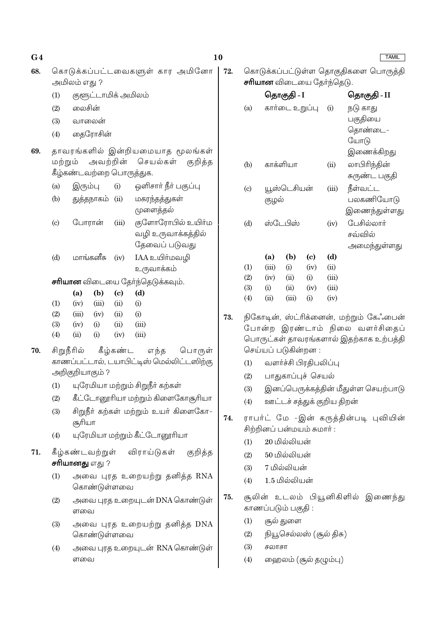### **TAMIL**

- 68. கொடுக்கப்பட்டவைகளுள் கார அமினோ 72. அமிலம் எது ?
	- குளுட்டாமிக் அமிலம்  $(1)$
	- லைசின்  $(2)$
	- வாலைன்  $(3)$
	- தைரோசின்  $(4)$
- தாவரங்களில் இன்றியமையாக மூலங்கள் 69. அவற்றின் மற்றும் செயல்கள் குறித்த கீழ்கண்டவற்றை பொருத்துக.
	- ஒளிசார் நீர் பகுப்பு இரும்பு  $(a)$  $(i)$
	- $(b)$ துத்தநாகம் (ii) மகரந்தத்துகள் முளைத்தல்
	- $\left( \mathrm{c}\right)$ போரான்  $(iii)$ குளோரோபில் உயிா்ம வழி உருவாக்கக்கில் தேவைப் படுவது
	- மாங்கனீசு IAA உயிர்மவழி  $(d)$  $(iv)$ உருவாக்கம்

**சரியான** விடையை கேர்ந்தெடுக்கவும்.

|                   | (a)   | (b)   | (c)  | (d)      |
|-------------------|-------|-------|------|----------|
| (1)               | (iv)  | (iii) | (ii) | $\rm(i)$ |
| $\left( 2\right)$ | (iii) | (iv)  | (ii) | $\rm(i)$ |
| (3)               | (iv)  | (i)   | (ii) | (iii)    |
| $\left( 4\right)$ | (ii)  | (i)   | (iv) | (iii)    |

- 70. சிறுநீரில் கீழ்கண்ட எந்த பொருள் காணப்பட்டால், டயாபிட்டிஸ் மெல்லிட்டஸிற்கு அறிகுறியாகும்?
	- யுரேமியா மற்றும் சிறுநீா் கற்கள்  $(1)$
	- $(2)$ கீட்டோனூரியா மற்றும் கிளைகோசூரியா
	- சிறுநீா் கற்கள் மற்றும் உயா் கிளைகோ- $(3)$ சூரியா
	- யுரேமியா மற்றும் கீட்டோனூரியா  $(4)$
- கீழ்கண்டவற்றுள் விராய்டுகள் 71. குறித்த சரியானது எது ?
	- $(1)$ அவை புரத உறையற்று தனித்த RNA கொண்டுள்ளவை
	- $(2)$ அவை புரத உறையுடன் DNA கொண்டுள் ளவை
	- அவை புரத உறையற்று தனித்த DNA  $(3)$ கொண்டுள்ளவை
	- $(4)$ அவை புரத உறையுடன் RNA கொண்டுள் ளவை

கொடுக்கப்பட்டுள்ள தொகுதிகளை பொருத்தி **சரியான** விடையை தேர்ந்தெடு.

|                          |       | தொகுதி - I     |      |       | தொகுதி - II   |
|--------------------------|-------|----------------|------|-------|---------------|
| (a)                      |       | கார்டை உறுப்பு |      | (i)   | நடு காது      |
|                          |       |                |      |       | பகுதியை       |
|                          |       |                |      |       | தொண்டை–       |
|                          |       |                |      |       | யோடு          |
|                          |       |                |      |       | இணைக்கிறது    |
| (b)                      |       | காக்ளியா       |      | (ii)  | லாபிரிந்தின்  |
|                          |       |                |      |       | சுருண்ட பகுதி |
| $\left( \text{c}\right)$ |       | யூஸ்டெசியன்    |      | (iii) | நீள்வட்ட      |
|                          | குழல் |                |      |       | பலகணியோடு     |
|                          |       |                |      |       | இணைந்துள்ளது  |
| (d)                      |       | ஸ்டேபிஸ்       |      | (iv)  | பேசில்லார்    |
|                          |       |                |      |       | சவ்வில்       |
|                          |       |                |      |       | அமைந்துள்ளது  |
|                          | (a)   | (b)            | (c)  | (d)   |               |
| (1)                      | (iii) | (i)            | (iv) | (ii)  |               |
| (2)                      | (iv)  | (ii)           | (i)  | (iii) |               |
| (3)                      | (i)   | (ii)           | (iv) | (iii) |               |
| (4)                      | (i)   | (iii)          | (i)  | (iv)  |               |

- 73. நிகோடின், ஸ்ட்ரிக்னைன், மற்றும் கேஃபைன் போன்ற இரண்டாம் நிலை வளர்சிதைப் பொருட்கள் தாவரங்களால் இதற்காக உற்பத்தி செய்யப் படுகின்றன :
	- வளர்ச்சி பிரதிபலிப்பு  $(1)$
	- பாதுகாப்புச் செயல்  $(2)$
	- இனப்பெருக்கத்தின் மீதுள்ள செயற்பாடு  $(3)$
	- ஊட்டச் சத்துக் குறிய திறன்  $(4)$
- ராபர்ட் மே -இன் கருத்தின்படி புவியின் 74. சிற்றினப் பன்மயம் சுமார் :
	- 20 மில்லியன்  $(1)$
	- $(2)$ 50 மில்லியன்
	- 7 மில்லியன்  $(3)$
	- 1.5 மில்லியன்  $(4)$
- சூலின் உடலம் பியூனிகிளில் இணைந்து 75. காணப்படும் பகுதி:
	- சூல் துளை  $(1)$
	- நியூசெல்லஸ் (சூல் திசு)  $(2)$
	- $(3)$ சலாசா
	- $(4)$ ஹைலம் (சூல் தழும்பு)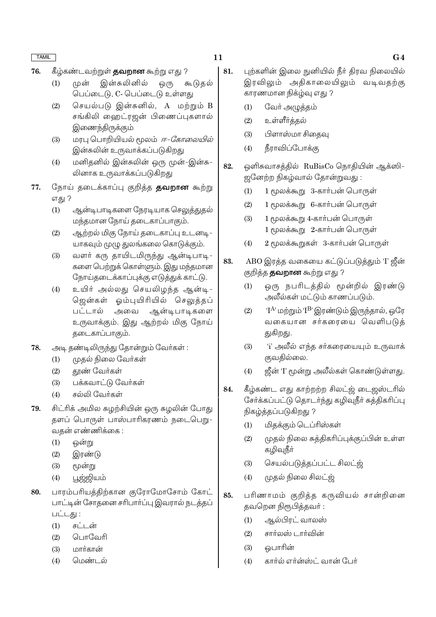- 11
- 76. கீழ்கண்டவற்றுள் **தவறான** கூற்று எது ?
	- முன் இன்சுலினில்  $(1)$ ஒ(ந கூடுதல் பெப்டைடு, C- பெப்டைடு உள்ளது
	- செயல்படு இன்சுனில், A மற்றும் B  $(2)$ சங்கிலி ஹைட்ரஜன் பிணைப்புகளால் இணைந்திருக்கும்
	- மரபு பொறியியல் மூலம் *ஈ-கோலையில்*  $(3)$ இன்சுலின் உருவாக்கப்படுகிறது
	- மனிதனில் இன்சுலின் ஒரு முன்-இன்சு- $(4)$ லினாக உருவாக்கப்படுகிறது
- 77. நோய் தடைக்காப்பு குறித்த **தவறான** கூற்று எது ?
	- ஆன்டிபாடிகளை நேரடியாக செலுத்துதல்  $(1)$ மந்தமான நோய் தடைகாப்பாகும்.
	- ஆற்றல் மிகு நோய் தடைகாப்பு உடனடி- $(2)$ யாகவும் முழு துலங்கலை கொடுக்கும்.
	- $(3)$ வளர் கரு தாயிடமிருந்து ஆன்டிபாடி-களை பெற்றுக் கொள்ளும். இது மந்தமான நோய்தடைக்காப்புக்கு எடுத்துக் காட்டு.
	- உயிர் அல்லது செயலிழந்த ஆன்டி- $(4)$ ஜென்கள் ஓம்புயிரியில் செலுத்தப் ஆன்டிபாடிகளை பட்டால் அவை உருவாக்கும். இது ஆற்றல் மிகு நோய் தடைகாப்பாகும்.
- அடி தண்டிலிருந்து தோன்றும் வேர்கள்: 78.
	- முகல் நிலை வேர்கள்  $(1)$
	- $(2)$ தூண் வேர்கள்
	- பக்கவாட்டு வேர்கள்  $(3)$
	- சல்லி வேர்கள்  $(4)$
- சிட்ரிக் அமில சுழற்சியின் ஒரு சுழலின் போது 79. தளப் பொருள் பாஸ்பாரிகரணம் நடைபெறு-வதன் எண்ணிக்கை :
	- $(1)$ ஒன்று
	- $(2)$ இரண்டு
	- $(3)$ மூன்று
	- பூஜ்ஜியம்  $(4)$
- 80. பாரம்பரியத்திற்கான குரோமோசோம் கோட் பாட்டின் சோதனை சரிபார்ப்பு இவரால் நடத்தப் பட்டது :
	- சட்டன்  $(1)$
	- பொவேரி  $(2)$
	- மார்கான்  $(3)$
	- $(4)$ பெண்டல்
- 81. புற்களின் இலை நுனியில் நீர் கிரவ நிலையில் இரவிலும் அதிகாலையிலும் வடிவதற்கு காரணமான நிக்ம்வு எது ?
	- $(1)$ வேர் அழுத்தம்
	- $(2)$ உள்ளீர்க்கல்
	- பிளாஸ்மா சிதைவு  $(3)$
	- நீராவிப்போக்கு  $(4)$
- ஒளிசுவாசத்தில் RuBisCo நொதியின் ஆக்ஸி-82. ஜனேற்ற நிகழ்வால் தோன்றுவது:
	- $(1)$ 1 மூலக்கூறு 3-கார்பன் பொருள்
	- $(2)$ 1 மூலக்கூறு 6-கார்பன் பொருள்
	- 1 மூலக்கூறு 4-கார்பன் பொருள்  $(3)$ 1 மூலக்கூறு 2-கார்பன் பொருள்
	- $(4)$ 2 மூலக்கூறுகள் 3-கார்பன் பொருள்
- 83. ABO இரத்த வகையை கட்டுப்படுத்தும் 'I' ஜீன் குறித்த **தவறான** கூற்று எது ?
	- $(1)$ ஒரு நபரிடத்தில் மூன்றில் இரண்டு அலீல்கள் மட்டும் காணப்படும்.
	- $(2)$  $\rm T^{A}$ ் மற்றும்  $\rm T^{B}$ ் இரண்டும் இருந்தால், ஒரே வகையான சர்கரையை வெளிபடுத் துகிறது.
	- 'i' அலீல் எந்த சா்கரையையும் உருவாக்  $(3)$ குவதில்லை.
	- ஜீன் 'I' மூன்று அலீல்கள் கொண்டுள்ளது.  $(4)$
- 84. கீழ்கண்ட எது காற்றற்ற சிலட்ஜ் டைஜஸ்டரில் சேர்க்கப்பட்டு தொடர்ந்து கழிவுநீர் சுத்திகரிப்பு நிகழ்த்தப்படுகிறது ?
	- மிதக்கும் டெப்ரிஸ்கள்  $(1)$
	- முதல் நிலை சுத்திகரிப்புக்குப்பின் உள்ள  $(2)$ கழிவுநீா்
	- செயல்படுத்தப்பட்ட சிலட்ஜ்  $(3)$
	- முதல் நிலை சிலட்ஜ்  $(4)$
- 85. பரிணாமம் குறிக்க கருவியல் சான்றினை தவறென நிரூபித்தவர்:
	- ஆல்பிரட் வாலஸ்  $(1)$
	- $(2)$ சார்லஸ் டார்வின்
	- ஒபாரின்  $(3)$
	- கார்ல் எர்ன்ஸ்ட் வான் பேர்  $(4)$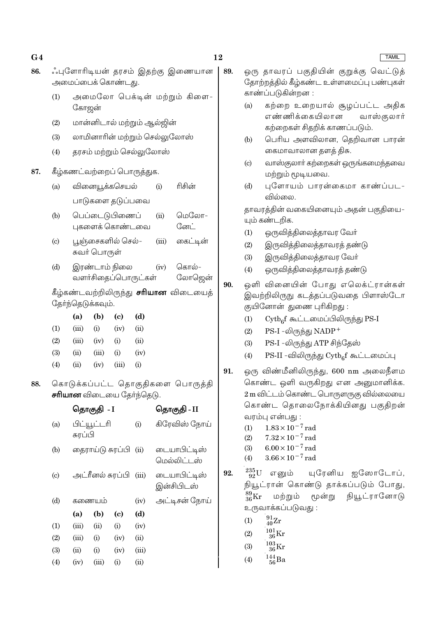|                            | ்புளோரிடியன் தரசம் இதற்கு இணையான<br>அமைப்பைக் கொண்டது.            |                                 |                                     |               |             |                               |     |                                             | ஒரு தாவரப் பகுதியின் கு<br>தோற்றத்தில் <mark>கீழ்கண்ட உள்ள</mark> |  |
|----------------------------|-------------------------------------------------------------------|---------------------------------|-------------------------------------|---------------|-------------|-------------------------------|-----|---------------------------------------------|-------------------------------------------------------------------|--|
| (1)                        |                                                                   | அமைலோ பெக்டின் மற்றும் கிளை-    |                                     |               |             |                               |     |                                             | காண்ப்படுகின்றன :                                                 |  |
|                            |                                                                   | கோஜன்                           |                                     |               |             |                               |     |                                             | கற்றை உறையால் சூ<br>எண்ணிக்கையிலான                                |  |
| (2)                        |                                                                   |                                 | மான்னிடால் மற்றும் ஆல்ஜின்          |               |             |                               |     |                                             | கற்றைகள் சிதறிக் காண                                              |  |
| (3)                        |                                                                   |                                 |                                     |               |             | லாமினாரின் மற்றும் செல்லுலோஸ் |     | (b)                                         | பெரிய அளவிலான, (                                                  |  |
| (4)                        |                                                                   |                                 | தரசம் மற்றும் செல்லுலோஸ்            |               |             |                               |     |                                             | கைமாவாலான தளத் தி                                                 |  |
|                            | கீழ்கணட்வற்றைப் பொருத்துக.                                        |                                 |                                     |               |             |                               |     | (c)                                         | வாஸ்குலாா் கற்றைகள் ஒ<br>மற்றும் மூடியவை.                         |  |
| (a)                        |                                                                   | ரிசின்<br>வினையூக்கசெயல்<br>(i) |                                     |               |             |                               |     | (d)                                         | புளோயம் பாரன்கை<br>வில்லை.                                        |  |
|                            |                                                                   |                                 | பாடுகளை தடுப்பவை                    |               |             |                               |     |                                             | தாவரத்தின் வகையினையும்                                            |  |
| (b)                        |                                                                   |                                 | பெப்டைடுபிணைப்                      |               | (ii)        | மெலோ–                         |     |                                             | யும் கண்டறிக.                                                     |  |
|                            |                                                                   |                                 | புகளைக் கொண்டவை                     |               |             | னேட்                          |     | (1)                                         | ஒருவித்திலைத்தாவர (                                               |  |
| $\left( c\right)$          | பூஞ்சைகளில் செல்–<br>(iii)                                        |                                 |                                     |               | கைட்டின்    |                               | (2) | இருவித்திலைத்தாவரத்                         |                                                                   |  |
|                            |                                                                   | சுவர் பொருள்                    |                                     |               |             |                               |     | (3)                                         | இருவித்திலைத்தாவர (                                               |  |
| (d)                        |                                                                   | இரண்டாம் நிலை<br>கொல்-<br>(iv)  |                                     |               |             |                               |     | (4)                                         | ஒருவித்திலைத்தாவரத்                                               |  |
|                            | வளர்சிதைப்பொருட்கள்<br>லோஜென்                                     |                                 |                                     |               |             |                               | 90. |                                             | ஒளி வினையின் போது எ                                               |  |
|                            | கீழ்கண்டவற்றிலிருந்து <b>சரியான</b> விடையைத்<br>தோ்ந்தெடுக்கவும். |                                 |                                     |               |             |                               |     |                                             | இவற்றிலிருநு கடத்தப்படுவ                                          |  |
|                            | (a)                                                               | (b)                             |                                     | (d)           |             |                               |     |                                             | குயினோன் துணை புரிகிறது                                           |  |
| (1)                        | (iii)                                                             | (i)                             | $\left( \mathbf{c} \right)$<br>(iv) | (ii)          |             |                               |     | (1)                                         | $\mathrm{Cytb}_{6}$ f கூட்டமைப்பிலி                               |  |
| (2)                        | (iii)                                                             | (iv)                            | (i)                                 | (ii)          |             |                               |     | (2)                                         | $PS-I$ -லிருந்து $NADP+$                                          |  |
| (3)                        | (ii)                                                              | (iii)                           | (i)                                 | (iv)          |             |                               |     | (3)                                         | PS-I -லிருந்து ATP சிந்(                                          |  |
| (4)                        | (ii)                                                              | (iv)                            | (iii)                               | (i)           |             |                               |     | (4)                                         | PS-II -விலிருந்து $\mathrm{Cytb}_6$                               |  |
|                            |                                                                   |                                 |                                     |               |             |                               | 91. |                                             | ஒரு விண்மீனிலிருந்து, 600                                         |  |
|                            | கொடுக்கப்பட்ட தொகுதிகளை பொருத்தி                                  |                                 |                                     |               |             |                               |     |                                             | கொண்ட ஒளி வருகிறது எ                                              |  |
|                            | <b>சரியான</b> விடையை தேர்ந்தெடு.                                  |                                 |                                     |               |             |                               |     | 2 m விட்டம் கொண்ட பொருள                     |                                                                   |  |
|                            | தொகுதி <i>-</i> I                                                 |                                 |                                     |               | தொகுதி - II |                               |     | கொண்ட தொலைநோக்கி                            |                                                                   |  |
| (a)                        | பிட்யூட்டரி                                                       |                                 | (i)                                 | கிரேவிஸ் நோய் |             |                               | (1) | வரம்பு என்பது:<br>$1.83 \times 10^{-7}$ rad |                                                                   |  |
|                            | சுரப்பி                                                           |                                 |                                     |               |             |                               |     | (2)                                         | $7.32 \times 10^{-7}$ rad                                         |  |
| (b)                        |                                                                   |                                 | தைராய்டு சுரப்பி (ii)               |               |             | டையாபிட்டிஸ்<br>மெல்லிட்டஸ்   |     | (3)<br>(4)                                  | $6.00 \times 10^{-7}$ rad<br>$3.66 \times 10^{-7}$ rad            |  |
| $\left( \mathrm{c}\right)$ |                                                                   |                                 | அட்ரீனல் சுரப்பி (iii)              |               |             | டையாபிட்டிஸ்                  | 92. | $^{235}_{\phantom{1}92}\mathrm{U}$          | யுரேனிய<br>எனும்                                                  |  |

இன்சிபிடஸ்

அட்டிசன் நோய்

 $(iv)$ 

 $(d)$ 

 $(iv)$ 

 $(ii)$ 

 $(iii)$ 

 $(ii)$ 

 $(c)$ 

 $(i)$ 

 $(iv)$ 

 $(iv)$ 

 $(i)$ 

ஒரு தாவரப் பகுதியின் குறுக்கு வெட்டுத் மைப்பு பண்புகள்

- நழப்பட்ட அதிக வாஸ்குலார் ாப்படும்.
- தெறிவான பாரன<mark>்</mark> lசு.
- .<br>ஒருங்கமைந்தவை
- மா காண்ப்பட-

அதன் பகுதியை-

- வர்
- தண்டு
- ிவர்
- தண்டு
- .<br>எலெக்ட்ரான்கள் பதை பிளாஸ்டோ  $\ddot{\cdot}$ 
	- டுந்து PS-I
	- தேஸ்
	- ரீ கூட்டமைப்பு
- nm அலைநீளம ன அனுமானிக்க. ாருகு வில்லையை யினது பகுதிறன<mark>்</mark>

யுரேனிய ஐஸோடோப்,  $^{235}_{92}{\rm U}$  எனும் 92. நியூட்ரான் கொண்டு தாக்கப்படும் போது,  $^{89}_{36}\text{Kr}$ நியூட்ரானோடு மற்றும் மூன்று உருவாக்கப்படுவது :

- $\frac{91}{40}Zr$  $(1)$
- $^{101}_{36}\mathrm{Kr}$  $(2)$
- $\frac{103}{36}\mathrm{Kr}$  $(3)$
- $^{144}_{\ 56}$ Ba  $(4)$

**TAMIL** 

# $G<sub>4</sub>$ 86.

87.

88.

 $(d)$ 

 $(1)$ 

 $(2)$ 

 $(3)$ 

 $(4)$ 

கணையம்

 $(b)$ 

 $(ii)$ 

 $(i)$ 

 $(i)$ 

 $(iii)$ 

 $(a)$ 

 $(iii)$ 

 $(iii)$ 

 $(ii)$ 

 $(iv)$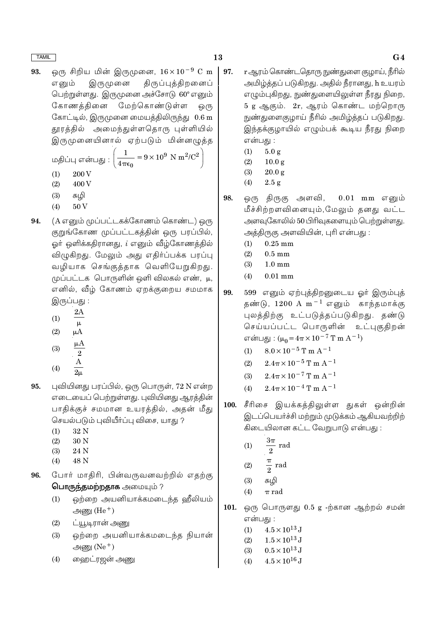ஒரு சிறிய மின் இருமுனை,  $16 \times 10^{-9}$  C m 93. இருமுனை திருப்புத்திறனைப் எனும் பெற்றுள்ளது. இருமுனை அச்சோடு 60° எனும் கோணக்கினை மேற்கொண்டுள்ள <u>ெ</u>(ந கோட்டில், இருமுனை மையத்திலிருந்து 0.6 m தூரத்தில் அமைந்துள்ளதொரு புள்ளியில் இருமுனையினால் ஏற்படும் மின்னழுத்த

மதிப்பு என்பது : 
$$
\left(\frac{1}{4\pi\epsilon_0} = 9 \times 10^9 \text{ N m}^2/\text{C}\right)
$$

- $(1)$ 200 V
- $(2)$ 400 V
- $(3)$ சுழி
- $(4)$ 50<sub>V</sub>
- 94. (A எனும் முப்பட்டகக்கோணம் கொண்ட) ஒரு குறுங்கோண முப்பட்டகத்தின் ஒரு பரப்பில், ஓர் ஒளிக்கதிரானது, *i* எனும் வீழ்கோணத்தில் விழுகிறது. மேலும் அது எதிர்ப்பக்க பரப்பு வழியாக செங்குத்தாக வெளியேறுகிறது. முப்பட்டக பொருளின் ஒளி விலகல் எண், μ, எனில், வீழ் கோணம் ஏறக்குறைய சமமாக இருப்பது :
	- $2A$  $(1)$
	- $\mu$  $(2)$  $\mu A$
	- $\mu A$  $(3)$  $\overline{2}$
	- $(4)$
- புவியினது பரப்பில், ஒரு பொருள், 72 N என்ற 95. எடையைப் பெற்றுள்ளது. புவியினது ஆரத்தின் பாதிக்குச் சமமான உயரத்தில், அதன் மீது செயல்படும் புவியீர்ப்பு விசை, யாது ?
	- $32N$  $(1)$
	- $(2)$ 30 N
	- $(3)$ 24 N
	- 48 N  $(4)$
- போர் மாதிரி, பின்வருவனவற்றில் எதற்கு 96. பொருந்தமற்றதாக அமையும்?
	- ஒற்றை அயனியாக்கமடைந்த ஹீலியம்  $(1)$ அணு $(He<sup>+</sup>)$
	- ட்யூடிரான் அணு  $(2)$
	- ஒற்றை அயனியாக்கமடைந்த நியான்  $(3)$ அணு $(Ne<sup>+</sup>)$
	- வைறட்ரஜன் அணு  $(4)$
- 97. <u>r ஆரம் கொண்டதொரு நுண்து</u>ளை குழாய், நீரில் அமிழ்த்தப் படுகிறது. அதில் நீரானது, h உயரம் எழும்புகிறது, நுண்துளையிலுள்ள நீரது நிறை, 5 g ஆகும். 2r, ஆரம் கொண்ட மற்றொரு நுண்துளைகுழாய் நீரில் அமிழ்த்தப் படுகிறது. இந்தக்குழாயில் எழும்பக் கூடிய நீரது நிறை என்பது :
	- $(1)$  $5.0 g$
	- $(2)$  $10.0 g$
	- $(3)$  $20.0 g$
	- $(4)$  $2.5 g$
- 98. ஒரு திருகு அளவி,  $0.01$  mm எனும் மீச்சிற்றளவினையும்,மேலும் தனது வட்ட அளவுகோலில் 50 பிரிவுகளையும் பெற்றுள்ளது. அத்திருகு அளவியின், புரி என்பது :
	- $0.25$  mm  $(1)$
	- $(2)$  $0.5$  mm
	- $(3)$  $1.0 \text{ mm}$
	- $0.01$  mm  $(4)$
- 99. 599 எனும் ஏற்புத்திறனுடைய ஓர் இரும்புத் தண்டு,  $1200 \text{ A m}^{-1}$  எனும் காந்தமாக்கு புலத்திற்கு உட்படுத்தப்படுகிறது. தண்டு செய்யப்பட்ட பொருளின் உட்புகுதிறன் என்பது:  $(\mu_0 = 4\pi \times 10^{-7}$  T m A<sup>-1</sup>)
	- $8.0 \times 10^{-5}$  T m A<sup>-1</sup>  $(1)$
	- $2.4\pi \times 10^{-5}$  T m A<sup>-1</sup>  $(2)$
	- $2.4\pi \times 10^{-7}$  T m A<sup>-1</sup>  $(3)$
	- $2.4\pi \times 10^{-4}$  T m A<sup>-1</sup>  $(4)$
- சீரிசை இயக்கத்திலுள்ள துகள் ஒன்றின் 100. இடப்பெயர்ச்சி மற்றும் முடுக்கம் ஆகியவற்றிற் கிடையிலான கட்ட வேறுபாடு என்பது :

$$
(1) \qquad \frac{3\pi}{2} \text{ rad}
$$

$$
(2) \qquad \frac{\pi}{2} \text{ rad}
$$

$$
(3) \qquad \text{with}
$$

- $(4)$  $\pi$  rad
- ஒரு பொருளது 0.5 g -ற்கான ஆற்றல் சமன் 101. என்பகு :
	- $4.5 \times 10^{13}$  J  $(1)$
	- $1.5 \times 10^{13}$  J  $(2)$
	- $0.5 \times 10^{13}$  J  $(3)$
	- $4.5 \times 10^{16}$  J  $(4)$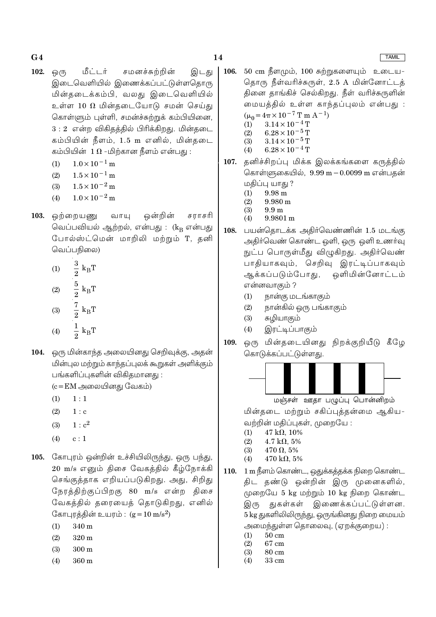- 102. மீட்டர் சமனச்சுற்றின் <u>ஒ</u>(ந இடது இடைவெளியில் இணைக்கப்பட்டுள்ளதொரு மின்தடைக்கம்பி, வலது இடைவெளியில் உள்ள 10  $\Omega$  மின்தடையோடு சமன் செய்து கொள்ளும் புள்ளி, சமன்ச்சுற்றுக் கம்பியினை,  $3:2$  என்ற விகிதத்தில் பிரிக்கிறது. மின்தடை கம்பியின் நீளம், 1.5 m எனில், மின்தடை கம்பியின்  $1\,\Omega$  -மிற்கான நீளம் என்பது :
	- $1.0 \times 10^{-1}$  m  $(1)$
	- $1.5 \times 10^{-1}$  m  $(2)$
	- $1.5 \times 10^{-2}$  m  $(3)$
	- $(4)$  $1.0 \times 10^{-2}$  m
- 103. ஒன்றின் சராசரி ஒற்றையணு வாயு வெப்பவியல் ஆற்றல், என்பது : (kR என்பது போல்ஸ்ட்மென் மாறிலி மற்றும் T, தனி வெப்பநிலை)

(1) 
$$
\frac{3}{2} k_{B}T
$$
  
\n(2)  $\frac{5}{2} k_{B}T$   
\n(3)  $\frac{7}{2} k_{B}T$   
\n(4)  $\frac{1}{2} k_{B}T$ 

104. ஒரு மின்காந்த அலையினது செறிவுக்கு, அதன் மின்புல மற்றும் காந்தப்புலக் கூறுகள் அளிக்கும் பங்களிப்புகளின் விகிதமானது :

 $(c = EM \n\implies \n\end{math}$ லையினது வேகம்)

- $(1)$  $1:1$
- $(2)$  $1 : c$
- $1 : c<sup>2</sup>$  $(3)$
- $(4)$  $c:1$
- 105. கோபுரம் ஒன்றின் உச்சியிலிருந்து, ஒரு பந்து, 20 m/s எனும் திசை வேகத்தில் கீழ்நோக்கி செங்குத்தாக எறியப்படுகிறது. அது, சிறிது நேரத்திற்குப்பிறகு 80 m/s என்ற திசை வேகத்தில் தரையைத் தொடுகிறது, எனில் கோபுரத்தின் உயரம் :  $(g = 10 \text{ m/s}^2)$ 
	- $(1)$ 340 m
	- $(2)$ 320 m
	- $(3)$  $300 \text{ m}$
	- 360 m  $(4)$
- 106.  $50 \text{ cm}$  நீளமும்,  $100 \text{ cm}$ றுகளையும் உடைய-தொரு நீள்வரிச்சுருள், 2.5 A மின்னோட்டத் தினை தாங்கிச் செல்கிறது. நீள் வரிச்சுருளின் மையத்தில் உள்ள காந்தப்புலம் என்பது :  $(\mu_0 = 4\pi \times 10^{-7} \text{ T m A}^{-1})$  $3.14 \times 10^{-4}$  T  $(1)$ 
	- $6.28\times10^{-5}\,\mathrm{T}$  $(2)$  $3.14 \times 10^{-5}$  T  $(3)$
	- $6.28 \times 10^{-4}$  T  $(4)$
- 107. தனிச்சிறப்பு மிக்க இலக்கங்களை கருத்தில் கொள்ளுகையில், 9.99 m - 0.0099 m என்பதன் மதிப்பு யாது ?
	- 9.98 m  $(1)$
	- $(2)$  $9.980 \text{ m}$
	- $9.9<sub>m</sub>$  $(3)$ 9.9801 m  $(4)$
- பயன்தொடக்க அதிர்வெண்ணின் 1.5 மடங்கு 108. அதிர்வெண் கொண்ட ஒளி, ஒரு ஒளி உணர்வு நுட்ப பொருள்மீது விழுகிறது. அதிர்வெண் பாதியாகவும், செறிவு இரட்டிப்பாகவும் ஒளிமின்னோட்டம் ஆக்கப்படும்போது, என்னவாகும் ?
	- $(1)$ நான்கு மடங்காகும்
	- $(2)$ நான்கில் ஒரு பங்காகும்
	- $(3)$ சுழியாகும்
	- $(4)$ இரட்டிப்பாகும்
- ஒரு மின்தடையினது நிறக்குறியீடு கீழே 109. கொடுக்கப்பட்டுள்ளது.



மஞ்சள் ஊதா பழுப்பு பொன்னிறம்

மின்தடை மற்றும் சகிப்புத்தன்மை ஆகிய-வற்றின் மதிப்புகள், முறையே :

- $47 \text{ k}\Omega$ , 10%  $(1)$
- $4.7 \text{ k}\Omega, 5\%$  $(2)$  $(3)$  $470 \Omega$ , 5%
- $(4)$  $470 \text{ k}\Omega$ , 5%
- 1 m நீளம் கொண்ட, ஒதுக்கத்தக்க நிறை கொண்ட 110. திட தண்டு ஒன்றின் இரு முனைகளில், முறையே 5 kg மற்றும் 10 kg நிறை கொண்ட துகள்கள் இணைக்கப்பட்டுள்ளன. இரு 5 kg துகளிலிலிருந்து, ஒருங்கினது நிறை மையம் அமைந்துள்ள தொலைவு, (ஏறக்குறைய) :
	- $50cm$  $(1)$
	- $(2)$ 67 cm
	- $(3)$ 80 cm
	- $(4)$ 33 cm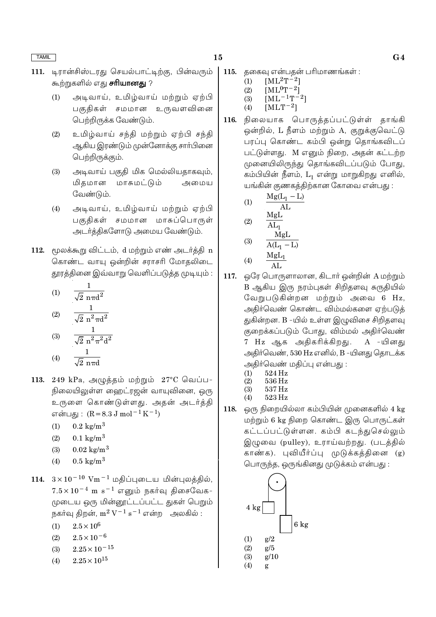- டிரான்சிஸ்டரது செயல்பாட்டிற்கு, பின்வரும் 111. கூற்றுகளில் எது **சரியானது** ?
	- அடிவாய், உமிழ்வாய் மற்றும் ஏற்பி  $(1)$ பகுதிகள் சமமான உருவளவினை பெற்றிருக்க வேண்டும்.
	- உமிழ்வாய் சந்தி மற்றும் ஏற்பி சந்தி  $(2)$ ஆகிய இரண்டும் முன்னோக்கு சார்பினை பெற்றிருக்கும்.
	- $(3)$ அடிவாய் பகுதி மிக மெல்லியதாகவும், மிகமான மாசுமட்டும் அமைய வேண்டும்.
	- $(4)$ அடிவாய், உமிழ்வாய் மற்றும் ஏற்பி பகுதிகள் சமமான மாசுப்பொருள் அடர்த்திகளோடு அமைய வேண்டும்.
- 112. மூலக்கூறு விட்டம், d மற்றும் எண் அடர்த்தி n கொண்ட வாயு ஒன்றின் சராசரி மோதலிடை தூரத்தினை இவ்வாறு வெளிப்படுத்த முடியும் :

(1) 
$$
\frac{1}{\sqrt{2} \text{ n} \pi d^2}
$$
  
(2) 
$$
\frac{1}{\sqrt{2} \text{ n}^2 \pi d^2}
$$
  
(3) 
$$
\frac{1}{\sqrt{2} \text{ n}^2 \pi^2 d^2}
$$

- $(4)$  $\sqrt{2}$  nπd
- 113. 249 kPa, அழுத்தம் மற்றும் 27°C வெப்ப-நிலையிலுள்ள வைறட்ரஜன் வாயுவினை, ஒரு உருளை கொண்டுள்ளது. அதன் அடர்த்தி என்பது :  $(R = 8.3 J \text{ mol}^{-1} \text{K}^{-1})$ 
	- $0.2 \text{ kg/m}^3$  $(1)$
	- $0.1 \text{ kg/m}^3$  $(2)$
	- $0.02 \text{ kg/m}^3$  $(3)$
	- $0.5 \text{ kg/m}^3$  $(4)$
- 114.  $3 \times 10^{-10}$  Vm<sup>-1</sup> மதிப்புடைய மின்புலத்தில்,  $7.5 \times 10^{-4}$  m s<sup>-1</sup> எனும் நகர்வு திசைவேக-முடைய ஒரு மின்னூட்டப்பட்ட துகள் பெறும் நகர்வு திறன்,  $m^2 V^{-1} s^{-1}$  என்ற அலகில் :
	- $2.5 \times 10^6$  $(1)$
	- $2.5 \times 10^{-6}$  $(2)$
	- $2.25 \times 10^{-15}$  $(3)$
	- $2.25 \times 10^{15}$  $(4)$
- 115. ககைவு என்பகன் பரிமாணங்கள் :
	- $[ML^2T-2]$  $(1)$
	- $[ML^0T^{-2}]$  $(2)$
	- $[ML^{-1}T^{-2}]$  $(3)$
	- $[MLT^{-2}]$  $(4)$
- நிலையாக பொருத்தப்பட்டுள்ள் தாங்கி 116. ஒன்றில், L நீளம் மற்றும் A, குறுக்குவெட்டு பரப்பு கொண்ட கம்பி ஒன்று தொங்கவிடப் பட்டுள்ளது. M எனும் நிறை, அதன் கட்டற்ற முனையிலிருந்து தொங்கவிடப்படும் போது, கம்பியின் நீளம்,  $L_1$  என்று மாறுகிறது எனில், யங்கின் குணகத்திற்கான கோவை என்பது :

$$
(1) \qquad \frac{Mg(L_1 - L)}{AL} \qquad \qquad
$$

$$
\begin{array}{cc}\n\text{(2)} & \text{AL}_1 \\
\text{(3)} & \frac{\text{MgL}}{\text{A(L}_1 - \text{L})}\n\end{array}
$$

$$
(4) \qquad \frac{\text{MgL}_1}{\text{AL}}
$$

- 117. ஒரே பொருளாலான, கிடார் ஒன்றின் A மற்றும் B ஆகிய இரு நரம்புகள் சிறிதளவு சுருதியில் வேறுபடுகின்றன மற்றும் அவை 6 Hz, அதிர்வெண் கொண்ட விம்மல்களை ஏற்படுக் துகின்றன. B -யில் உள்ள இமுவிசை சிறிதளவு குறைக்கப்படும் போது, விம்மல் அதிர்வெண் 7 Hz ஆக அதிகரிக்கிறது. A -யினகு அதிர்வெண், 530 Hz எனில், B -யினது தொடக்க அகிர்வெண் மகிப்பு என்பது :
	- $524\,\mathrm{Hz}$  $(1)$
	- $(2)$ 536 Hz 537 Hz  $(3)$
	- 523 Hz  $(4)$
- ஒரு நிறையில்லா கம்பியின் முனைகளில் 4 kg 118. மற்றும் 6 kg நிறை கொண்ட இரு பொருட்கள் கட்டப்பட்டுள்ளன. கம்பி கடந்துசெல்லும் இழுவை (pulley), உராய்வற்றது. (படத்தில் பொருந்த, ஒருங்கினது முடுக்கம் என்பது :

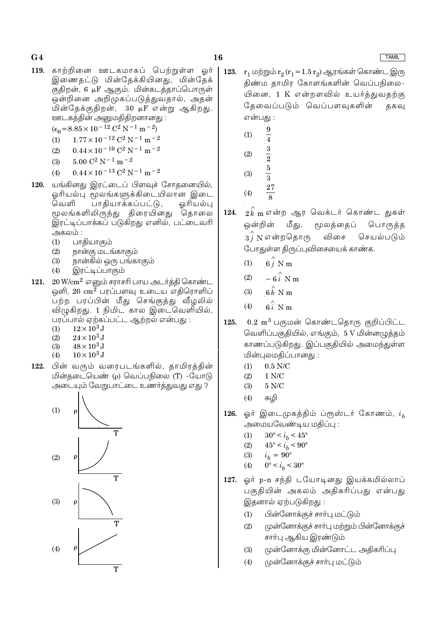- 16
- 119. காற்றினை ஊடகமாகப் பெற்றுள்ள ஓர் இணைதட்டு மின்தேக்கியினது, மின்தேக் குதிறன், 6 µF ஆகும். மின்கடத்தாப்பொருள் ஒன்றினை அறிமுகப்படுத்துவதால், அதன் மின்தேக்குதிறன், 30 µF என்று ஆகிறது. ஊடகத்தின் அனுமதிதிறனானது :

 $(\epsilon_0 = 8.85 \times 10^{-12} \text{ C}^2 \text{ N}^{-1} \text{ m}^{-2})$ 

- $1.77 \times 10^{-12}$  C<sup>2</sup> N<sup>-1</sup> m<sup>-2</sup>  $(1)$
- $0.44 \times 10^{-10}$  C<sup>2</sup> N<sup>-1</sup> m<sup>-2</sup>  $(2)$
- $5.00 C^2 N^{-1} m^{-2}$  $(3)$
- $0.44 \times 10^{-13}$  C<sup>2</sup> N<sup>-1</sup> m<sup>-2</sup>  $(4)$
- யங்கினது இரட்டைப் பிளவுச் சோதனையில், 120. ஓரியல்பு மூலங்களுக்கிடையிலான இடை வெளி பாதியாக்கப்பட்டு, ஓரியல்பு மூலங்களிலிருந்து திரையினது தொலை இரட்டிப்பாக்கப் படுகிறது எனில், பட்டைவரி அகலம் :
	- பாதியாகும்  $(1)$
	- நான்கு மடங்காகும்  $(2)$
	- $(3)$ நான்கில் ஒரு பங்காகும்
	- $(4)$ இரட்டிப்பாகும்
- $20\,\mathrm{W/cm^2}$  எனும் சராசரி பாய அடர்த்தி கொண்ட 121. ஒளி,  $20 \text{ cm}^2$  பரப்பளவு உடைய எதிரொளிப் பற்ற பரப்பின் மீது செங்குத்து வீழலில் விழுகிறது. 1 நிமிட கால இடைவெளியில், பரப்பால் ஏற்கப்பட்ட ஆற்றல் என்பது :
	- $12\times10^3$  J  $(1)$
	- $(2)$  $24 \times 10^3$  J
	- $(3)$  $48 \times 10^3$  J
	- $10 \times 10^3$  J  $(4)$
- 122. பின் வரும் வரைபடங்களில், தாமிரத்தின் மின்தடையெண் (p) வெப்பநிலை (T) -யோடு அடையும் வேறுபாட்டை உணர்த்துவது எது ?



- 123.  $r_1$  மற்றும்  $r_2(r_1 = 1.5 r_2)$  ஆரங்கள் கொண்ட இரு திண்ம தாமிர கோளங்களின் வெப்பநிலை-யினை, 1 K என்றளவில் உயர்த்துவதற்கு கேவைப்படும் வெப்பளவுகளின் ககவு என்பது :
	- $\frac{9}{4}$  $(1)$
	- $(2)$
	-
	- $\frac{3}{2}$   $\frac{5}{3}$  $(3)$
	- **27**  $(4)$
	-
- 124.  $2\overset{\wedge}{k}$ m என்ற ஆர வெக்டர் கொண்ட துகள் ஒன்றின் மீது, மூலத்தைப் பொருத்த  $3\hat{i}$  N என்றதொரு செயல்படும் விசை போதுள்ள திருப்புவிசையைக் காண்க.
	- $6\hat{i}$  N m  $(1)$
	- $-6i$  N m  $(2)$
	- $6k$  N m  $(3)$
	- $6\hat{i}$  N m  $(4)$
- $0.2~{\rm m}^3$  பருமன் கொண்டதொரு குறிப்பிட்ட 125. வெளிப்பகுதியில், எங்கும், 5 V மின்னமுத்தம் காணப்படுகிறது. இப்பகுதியில் அமைந்துள்ள மின்புலமகிப்பானது :
	- $0.5$  N/C  $(1)$
	- $1 N/C$  $(2)$
	- $5 N/C$  $(3)$
	- $(4)$ சுமி
- ஓர் இடைமுகத்திம் ப்ரூஸ்டர் கோணம்,  $i_h$ 126. அமையவேண்டிய மதிப்பு :
	- $30^{\circ} < i_h < 45^{\circ}$  $(1)$
	- $(2)$  $45^{\circ} < i_h < 90^{\circ}$
	- $(3)$  $i_h = 90^{\circ}$
	- $0^{\circ} < i_h < 30^{\circ}$  $(4)$
- 127. ஓர் p-n சந்தி டயோடினது இயக்கமில்லாப் பகுதியின் அகலம் அதிகரிப்பது என்பது இதனால் ஏற்படுகிறது :
	- பின்னோக்குச் சாா்பு மட்டும்  $(1)$
	- முன்னோக்குச் சாா்பு மற்றும் பின்னோக்குச்  $(2)$ சாா்பு ஆகிய இரண்டும்
	- $(3)$ முன்னோக்கு மின்னோட்ட அதிகரிப்பு
	- $(4)$ முன்னோக்குச் சார்பு மட்டும்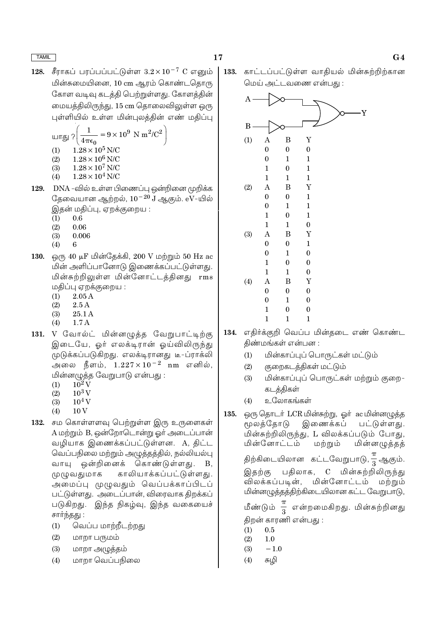சீராகப் பரப்பப்பட்டுள்ள  $3.2 \times 10^{-7}$  C எனும் 128. மின்சுமையினை, 10 cm ஆரம் கொண்டதொரு கோள வடிவு கடத்தி பெற்றுள்ளது. கோளத்தின் மையத்திலிருந்து, 15 cm தொலைவிலுள்ள ஒரு புள்ளியில் உள்ள மின்புலத்தின் எண் மதிப்பு

17

$$
u\pi g_J ? \left( \frac{1}{4\pi \epsilon_0} = 9 \times 10^9 \text{ N m}^2/\text{C}^2 \right)
$$
  
(1) 1.28 × 10<sup>5</sup> N/C  
(2) 1.28 × 10<sup>6</sup> N/C  
(3) 1.28 × 10<sup>7</sup> N/C  
(4) 1.28 × 10<sup>4</sup> N/C

- 129. DNA -வில் உள்ள பிணைப்பு ஒன்றினை முறிக்க தேவையான ஆற்றல்,  $10^{-20}$  J ஆகும்.  $\rm eV$ -யில் இதன் மதிப்பு, ஏறக்குறைய :
	- $0.6$  $(1)$
	- $(2)$ 0.06
	- $(3)$ 0.006
	- $(4)$ 6
- ஒரு 40 µF மின்தேக்கி, 200 V மற்றும் 50 Hz ac 130. மின் அளிப்பானோடு இணைக்கப்பட்டுள்ளது. மின்சுற்றிலுள்ள மின்னோட்டத்தினது rms மதிப்பு ஏறக்குறைய :
	- $(1)$  $2.05A$
	- $(2)$  $2.5A$
	- $(3)$ 25.1 A
	- $(4)$  $1.7A$
- 131. V வோல்ட் மின்னமுத்த வேறுபாட்டிற்கு இடையே, ஓர் எலக்டிரான் ஓய்விலிருந்து முடுக்கப்படுகிறது. எலக்டிரானது டீ-ப்ராக்லி அலை நீளம்,  $1.227 \times 10^{-2}$  nm எனில், மின்னழுத்த வேறுபாடு என்பது :
	- $10^2$  V  $(1)$
	- $10^3$  V  $(2)$
	- $10^4$  V  $(3)$
	- $(4)$  $10V$
- 132. சம கொள்ளளவு பெற்றுள்ள இரு உருளைகள் A மற்றும் B, ஒன்றோடொன்று ஓர் அடைப்பான் வழியாக இணைக்கப்பட்டுள்ளன. A, திட்ட வெப்பநிலை மற்றும் அழுத்தத்தில், நல்லியல்பு வாயு ஒன்றினைக் கொண்டுள்ளது. **B**. முழுவதுமாக காலியாக்கப்பட்டுள்ளது. அமைப்பு முழுவதும் வெப்பக்காப்பிடப் பட்டுள்ளது. அடைப்பான், விரைவாக கிறக்கப் படுகிறது. இந்த நிகழ்வு, இந்த வகையைச் சார்ந்தது:
	- வெப்ப மாற்றீடற்றது  $(1)$
	- $(2)$ மாறா பருமம்
	- $(3)$ மாறா அழுத்தம்
	- $(4)$ மாறா வெப்பநிலை

133. காட்டப்பட்டுள்ள வாதியல் மின்சுற்றிற்கான மெய் அட்டவணை என்பது :



- 134. எதிர்க்குறி வெப்ப மின்தடை எண் கொண்ட திண்மங்கள் என்பன :
	- மின்காப்புப் பொருட்கள் மட்டும்  $(1)$
	- குறைகடத்திகள் மட்டும்  $(2)$
	- மின்காப்புப் பொருட்கள் மற்றும் குறை- $(3)$ கடத்திகள்
	- உலோகங்கள்  $(4)$
- ஒரு தொடர் LCR மின்சுற்று, ஓர் ac மின்னமுத்த 135. மூலக்கோடு இணைக்கப் பட்டுள்ளது. மின்சுற்றிலிருந்து, L விலக்கப்படும் போது, மின்னோட்டம் மற்றும் மின்னழுத்தத் திற்கிடையிலான கட்டவேறுபாடு, <del>1 ஆ</del>கும். பதிலாக, C மின்சுற்றிலிருந்து இதற்கு மின்னோட்டம் மற்றும் விலக்கப்படின், மின்னழுத்தத்திற்கிடையிலான கட்ட வேறுபாடு,

மீண்டும்  $\frac{\pi}{3}$  என்றமைகிறது. மின்சுற்றினது திறன் காரணி என்பது :

- $(1)$  $0.5$
- $(2)$  $1.0$
- $(3)$  $-1.0$
- $(4)$ சுழி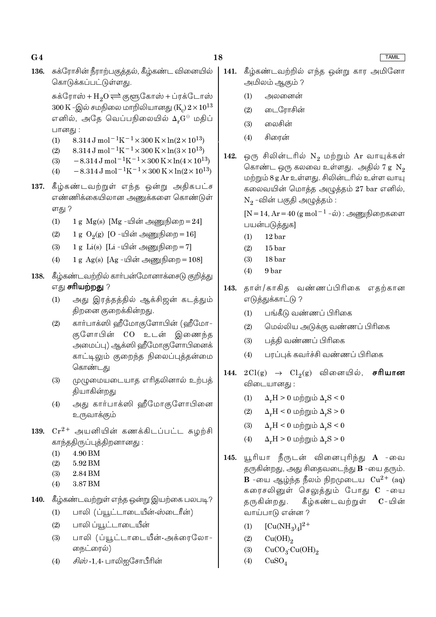- 18
- சுக்ரோசின் நீராற்பகுத்தல், கீழ்கண்ட வினையில் 136. கொடுக்கப்பட்டுள்ளது.

சுக்ரோஸ் + $H_2O \rightleftharpoons$ குளுகோஸ் + ப்ரக்டோஸ்  $300 \text{ K}$  -இல் சமநிலை மாறிலியானது (K<sub>c</sub>)  $2 \times 10^{13}$ எனில், அதே வெப்பநிலையில் Δ, α⊕ மதிப் பானது :

- $8.314 \text{ J} \text{ mol}^{-1} \text{K}^{-1} \times 300 \text{ K} \times \ln(2 \times 10^{13})$  $(1)$
- $8.314 \,\mathrm{J}$  mol<sup>-1</sup>K<sup>-1</sup>×300 K×ln(3×10<sup>13</sup>)  $(2)$
- $-8.314 \,\mathrm{J}$  mol<sup>-1</sup>K<sup>-1</sup>×300 K×ln(4×10<sup>13</sup>)  $(3)$
- $-8.314 \,\mathrm{J}$  mol<sup>-1</sup>K<sup>-1</sup>×300 K×ln(2×10<sup>13</sup>)  $(4)$
- 137. கீழ்கண்டவற்றுள் எந்த ஒன்று அதிகபட்ச எண்ணிக்கையிலான அணுக்களை கொண்டுள் ளது ?
	- 1 g  $Mg(s)$  [Mg -யின் அணுநிறை = 24]  $(1)$
	- 1 g  $O_2(g)$  [O -யின் அணுநிறை = 16]  $(2)$
	- 1 g Li(s) [Li -யின் அணுநிறை = 7]  $(3)$
	- 1 g Ag(s)  $[Ag \mu\hat{\sigma}\hat{\sigma}] = 108$  $(4)$
- 138. கீழ்கண்டவற்றில் கார்பன்மோனாக்சைடு குறித்து எது **சரியற்றது** ?
	- $(1)$ அது இரத்தத்தில் ஆக்சிஜன் கடத்தும் திறனை குறைக்கின்றது.
	- கார்பாக்ஸி ஹீமோகுளோபின் (ஹீமோ- $(2)$ குளோபின் CO உடன் இணைந்த அமைப்பு) ஆக்ஸி ஹீமோகுளோபினைக் காட்டிலும் குறைந்த நிலைப்புத்தன்மை கொண்டது
	- முழுமையடையாத எரிதலினால் உற்பத்  $(3)$ தியாகின்றது
	- $(4)$ அது கார்பாக்ஸி ஹீமோகுளோபினை உருவாக்கும்
- 139.  $Cr^{2+}$  அயனியின் கணக்கிடப்பட்ட சுழற்சி காந்ததிருப்புத்திறனானது:
	- $(1)$ 4.90 BM
	- $(2)$ 5.92 BM
	- $(3)$ 2.84 BM
	- 3.87 BM  $(4)$
- 140. கீழ்கண்டவற்றுள் எந்த ஒன்று இயற்கை பலபடி?
	- $(1)$ பாலி (ப்யூட்டாடையீன்-ஸ்டைரீன்)
	- $(2)$ பாலி ப்யூட்டாடையீன்
	- பாலி (ப்யூட்டாடையீன்-அக்ரைலோ- $(3)$ நைட்ரைல்)
	- *சிஸ்* -1,4- பாலிஐசோபீரின்  $(4)$
- 141. கீழ்கண்டவற்றில் எந்த ஒன்று கார அமினோ அமிலம் ஆகும் ?
	- $(1)$ அலனைன்
	- $(2)$ டைரோசின்
	- $(3)$ லைசின்
	- சிரைன்  $(4)$
- ஒரு சிலின்டரில் N<sub>2</sub> மற்றும் Ar வாயுக்கள் 142. கொண்ட ஒரு கலவை உள்ளது. அதில் 7 g  $N_2$ மற்றும் 8 g Ar உள்ளது. சிலின்டரில் உள்ள வாயு கலைவயின் மொத்த அழுத்தம் 27 bar எனில்,  $N_2$ -வின் பகுதி அழுத்தம்:

[N = 14, Ar = 40 (g mol<sup>-1</sup> -ல்) : அணுநிறைகளை பயன்படுத்துக]

- $12<sub>bar</sub>$  $(1)$
- $(2)$  $15<sub>bar</sub>$
- $(3)$ 18 bar
- $(4)$ 9<sub>bar</sub>
- தாள்/காகித வண்ணப்பிரிகை எதற்கான 143. எடுத்துக்காட்டு ?
	- பங்கீடு வண்ணப் பிரிகை  $(1)$
	- மெல்லிய அடுக்கு வண்ணப் பிரிகை  $(2)$
	- $(3)$ பத்தி வண்ணப் பிரிகை
	- பரப்புக் கவர்ச்சி வண்ணப் பிரிகை  $(4)$
- 144.  $2Cl(g) \rightarrow Cl_2(g)$  வினையில், சரியான விடையானது :
	- $\Delta_r H > 0$  மற்றும்  $\Delta_r S < 0$  $(1)$
	- $(2)$  $\Delta_r H < 0$  மற்றும்  $\Delta_r S > 0$
	- $\Delta_r H \leq 0$  மற்றும்  $\Delta_r S \leq 0$  $(3)$
	- $\Delta_r H > 0$  மற்றும்  $\Delta_r S > 0$  $(4)$
- யூரியா நீருடன் வினைபுரிந்து **A** -வை 145. தருகின்றது, அது சிதைவடைந்து **B** -யை தரும். **B** -யை ஆழ்ந்த நீலம் நிறமுடைய  $Cu^{2+}$  (aq) கரைசலினுள் செலுத்தும் போது C -யை கீழ்கண்டவற்றுள் தருகின்றது.  $\mathbf{C}$  – யின் வாய்பாடு என்ன ?
	- $[Cu(NH_3)_4]^{2+}$  $(1)$
	- $(2)$  $Cu(OH)<sub>2</sub>$
	- $(3)$  $CuCO<sub>3</sub>·Cu(OH)<sub>2</sub>$
	- $CuSO<sub>4</sub>$  $(4)$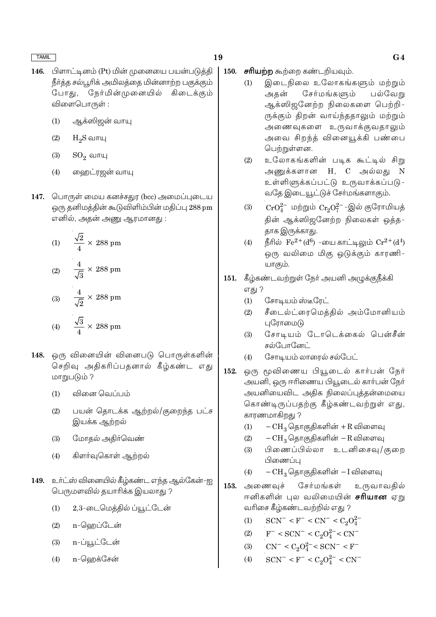- பிளாட்டினம் (Pt) மின் முனையை பயன்படுத்தி  $146.$ நீா்த்த சல்பூரிக் அமிலத்தை மின்னாற்ற பகுக்கும் நேர்மின்முனையில் கிடைக்கும் போகுட், விளைபொருள் :
	- ஆக்ஸிஜன் வாயு  $(1)$
	- $H<sub>2</sub>S$  வாயு  $(2)$
	- $SO_2$  வாயு  $(3)$
	- ஹைட்ரஜன் வாயு  $(4)$
- 147. பொருள் மைய கனச்சதுர (bcc) அமைப்புடைய ஒரு தனிமத்தின் கூடுவிளிம்பின் மதிப்பு 288 pm எனில், அதன் அணு ஆரமானது :

(1) 
$$
\frac{\sqrt{2}}{4} \times 288 \text{ pm}
$$
  
(2) 
$$
\frac{4}{\sqrt{3}} \times 288 \text{ pm}
$$
  
(3) 
$$
\frac{4}{\sqrt{2}} \times 288 \text{ pm}
$$
  
(4) 
$$
\frac{\sqrt{3}}{4} \times 288 \text{ pm}
$$

- ஒரு வினையின் வினைபடு பொருள்களின் 148. செறிவு அதிகரிப்பதனால் கீழ்கண்ட எது மாறுபடும் ?
	- வினை வெப்பம்  $(1)$
	- பயன் தொடக்க ஆற்றல்/குறைந்த பட்ச  $(2)$ இயக்க ஆற்றல்
	- மோதல் அதிர்வெண்  $(3)$
	- கிளர்வுகொள் ஆற்றல்  $(4)$
- 149. உர்ட்ஸ் வினையில் கீழ்கண்ட எந்த ஆல்கேன்-ஐ பெருமளவில் தயாரிக்க இயலாது ?
	- $(1)$ 2,3-டைமெத்தில் ப்யூட்டேன்
	- $(2)$ n-ஹெப்டேன்
	- n-ப்யூட்டேன்  $(3)$
	- n-வெறக்சேன்  $(4)$
- 19
	- சரியற்ற கூற்றை கண்டறியவும். 150.
		- இடைநிலை உலோகங்களும் மற்றும்  $(1)$ சேர்மங்களும் அகன் பல்வேறு ஆக்ஸிஜனேற்ற நிலைகளை பெற்றி-ருக்கும் திறன் வாய்ந்ததாலும் மற்றும் அணைவுகளை உருவாக்குவதாலும் அவை சிறந்த் வினையூக்கி பண்பை பெற்றுள்ளன.
		- உலோகங்களின் படிக கூட்டில் சிறு  $(2)$ அணுக்களான H, C அல்லது N உள்ளிளுக்கப்பட்டு உருவாக்கப்படு-வதே இடையூட்டுச் சோ்மங்களாகும்.
		- $CrO_4^{2-}$  மற்றும்  $Cr_2O_7^{2-}$ -இல் குரோமியத்  $(3)$ தின் ஆக்ஸிஜனேற்ற நிலைகள் ஒத்த-தாக இருக்காது.
		- நீரில்  $\rm Fe^{2+}(d^6)$  -யை காட்டிலும்  $\rm Cr^{2+}(d^4)$  $(4)$ ஒரு வலிமை மிகு ஒடுக்கும் காரணி-யாகும்.
	- 151. கீழ்கண்டவற்றுள் நேர் அயனி அழுக்குநீக்கி எது ?
		- சோடியம்ஸ்டீரேட்  $(1)$
		- சீடைல்ட்ரைமெத்தில் அம்மோனியம்  $(2)$ புரோமைடு
		- சோடியம் டோடெக்கைல் பென்சீன்  $(3)$ சல்போனேட்
		- $(4)$ சோடியம் லாரைல் சல்பேட்
	- 152. ஒரு மூவிணைய பியூடைல் கார்பன் நேர் அயனி, ஒரு ஈரிணைய பியூடைல் கார்பன் நேர் அயனியைவிட அதிக நிலைப்புத்தன்மையை கொண்டிருப்பதற்கு கீழ்கண்டவற்றுள் எது, காரணமாகிறது ?
		- $-CH<sub>3</sub>$ தொகுதிகளின் +R விளைவு  $(1)$
		- CH<sub>3</sub> தொகுதிகளின் R விளைவு  $(2)$
		- பிணைப்பில்லா உடனிசைவு/குறை  $(3)$ பிணைப்பு
		- $(4)$  $-CH_3$  தொகுதிகளின் – I விளைவு
	- 153. அணைவச் சேர்மங்கள் உருவாவதில் ஈனிகளின் புல வலிமையின் **சரியான** ஏறு வரிசை கீழ்கண்டவற்றில் எது ?
		- $SCN^- < F^- < CN^- < C_2O_4^{2-}$  $(1)$
		- $F^-$  < SCN<sup>-</sup> < C<sub>2</sub>O<sub>4</sub><sup>2-</sup> < CN<sup>-</sup>  $(2)$
		- $CN^{-} < C_2O_4^{2-} < SCN^{-} < F^{-}$  $(3)$
		- $SCN^- < F^- < C_2O_4^{2-} < CN^ (4)$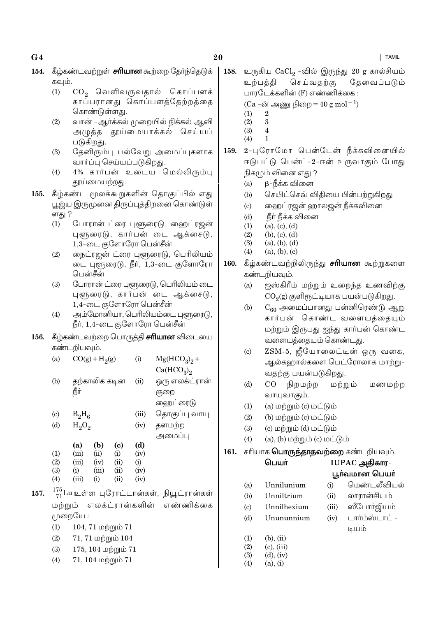|      |                            | - 7 <sup></sup> - 7 <del></del><br>கொண்டுள்ளது. |             | ر ج  ر ح ر ج ر ج - ر ح  = = - <b></b> .     |      |            | $(\text{Ca} = 601 \rightarrow 9000)$ pl60) $\mu = 40$ g mor $\mu$ |       |                     |
|------|----------------------------|-------------------------------------------------|-------------|---------------------------------------------|------|------------|-------------------------------------------------------------------|-------|---------------------|
|      | (2)                        |                                                 |             | வான் -ஆர்க்கல் முறையில் நிக்கல் ஆவி         |      | (1)<br>(2) | $\sqrt{2}$<br>$\sqrt{3}$                                          |       |                     |
|      |                            |                                                 |             | அழுத்த தூய்மையாக்கல் செய்யப்                |      | (3)        | $\overline{4}$                                                    |       |                     |
|      |                            | படுகிறது.                                       |             |                                             |      | (4)        | $\mathbf{1}$                                                      |       |                     |
|      | (3)                        |                                                 |             | தேனிரும்பு பல்வேறு அமைப்புகளாக              | 159. |            | 2-புரோமோ பென்டேன் நீக்கவினையி                                     |       |                     |
|      |                            | வாா்ப்பு செய்யப்படுகிறது.                       |             |                                             |      |            | ஈடுபட்டு பென்ட்-2-ஈன் உருவாகும் போ                                |       |                     |
|      | (4)                        |                                                 |             | 4% கார்பன் உடைய மெல்லிரும்பு                |      |            | நிகழும் வினை எது ?                                                |       |                     |
|      |                            | தூய்மையற்றது.                                   |             |                                             |      | (a)        | β-நீக்க வினை                                                      |       |                     |
| 155. |                            |                                                 |             | கீழ்கண்ட மூலக்கூறுகளின் தொகுப்பில் எது      |      | (b)        | செயிட்செவ் விதியை பின்பற்றுகிறது                                  |       |                     |
|      |                            |                                                 |             | பூஜ்ய இருமுனை திருப்புத்திறனை கொண்டுள்      |      | (c)        | ஹைட்ரஜன் ஹாலஜன் நீக்கவினை                                         |       |                     |
|      | ளது ?                      |                                                 |             |                                             |      | (d)        | நீா் நீக்க வினை                                                   |       |                     |
|      | (1)                        |                                                 |             | போரான் ட்ரை புளூரைடு, ஹைட்ரஜன்              |      | (1)        | (a), (c), (d)                                                     |       |                     |
|      |                            |                                                 |             | புளூரைடு, கார்பன் டை ஆக்சைடு,               |      | (2)        | (b), (c), (d)                                                     |       |                     |
|      |                            | $1,3$ -டை குளோரோ பென்சீன்                       |             |                                             |      | (3)        | (a), (b), (d)                                                     |       |                     |
|      | (2)                        |                                                 |             | நைட்ரஜன் ட்ரை புளூரைடு, பெரிலியம்           |      | (4)        | (a), (b), (c)                                                     |       |                     |
|      |                            |                                                 |             | டை புளூரைடு, நீர், 1,3-டை குளோரோ            | 160. |            | கீழ்கண்டவற்றிலிருந்து <b>சரியான</b> கூற்றுகன                      |       |                     |
|      |                            | பென்சீன்                                        |             |                                             |      |            | கண்டறியவும்.                                                      |       |                     |
|      | (3)                        |                                                 |             | போரான் ட்ரை புளூரைடு, பெரிலியம் டை          |      | (a)        | ஐஸ்கிரீம் மற்றும் உறைந்த உணவிற்                                   |       |                     |
|      |                            |                                                 |             | புளூரைடு, கார்பன் டை ஆக்சைடு,               |      |            | $CO2(g)$ குளிரூட்டியாக பயன்படுகிறது.                              |       |                     |
|      |                            | 1,4-டை குளோரோ பென்சீன்                          |             |                                             |      | (b)        | $C_{60}$ அமைப்பானது பன்னிரெண்டு ஆ                                 |       |                     |
|      | (4)                        |                                                 |             | அம்மோனியா, பெரிலியம்டை புளூரைடு,            |      |            | கார்பன் கொண்ட வளையத்தைய                                           |       |                     |
|      |                            | நீர், 1,4-டை குளோரோ பென்சீன்                    |             |                                             |      |            | மற்றும் இருபது ஐந்து கார்பன் கொண்                                 |       |                     |
| 156. |                            |                                                 |             | கீழ்கண்டவற்றை பொருத்தி <b>சாியான</b> விடையை |      |            | வளையத்தையும் கொண்டது.                                             |       |                     |
|      |                            | கண்டறியவும்.                                    |             |                                             |      | (c)        | ZSM-5, ஜீயோலைட்டின் ஒரு வன                                        |       |                     |
|      | (a)                        | $CO(g) + H2(g)$                                 | (i)         | $Mg(HCO3)2 +$                               |      |            | ஆல்கஹால்களை பெட்ரோலாக மாற்                                        |       |                     |
|      |                            |                                                 |             | Ca(HCO <sub>3</sub> ) <sub>2</sub>          |      |            | வதற்கு பயன்படுகிறது.                                              |       |                     |
|      | (b)                        | தற்காலிக கடின                                   | (ii)        | ஒரு எலக்ட்ரான்                              |      | (d)        | நிறமற்ற<br>CO                                                     |       | மற்றும்<br>மணம      |
|      |                            | நீர்                                            |             | குறை                                        |      |            | வாயுவாகும்.                                                       |       |                     |
|      |                            |                                                 |             | ஹைட்ரைடு                                    |      | (1)        | (a) மற்றும் (c) மட்டும்                                           |       |                     |
|      | $\left( \mathrm{c}\right)$ | $B_2H_6$                                        | (iii)       | தொகுப்பு வாயு                               |      | (2)        | (b) மற்றும் (c) மட்டும்                                           |       |                     |
|      | (d)                        | $H_2O_2$                                        | (iv)        | தளமற்ற                                      |      | (3)        | (c) மற்றும் (d) மட்டும்                                           |       |                     |
|      |                            |                                                 |             | அமைப்பு                                     |      | (4)        | $(a)$ , $(b)$ மற்றும் $(c)$ மட்டும்                               |       |                     |
|      |                            | (b)<br>(a)<br>(c)<br>(iii)<br>(ii)              | (d)         |                                             | 161. |            | சரியாக <b>பொருந்தாதவற்றை</b> கண்டறியவும்.                         |       |                     |
|      | (1)<br>(2)                 | (i)<br>(iii)<br>(iv)<br>(ii)                    | (iv)<br>(i) |                                             |      |            | பெயர்                                                             |       | IUPAC அதிகார-       |
|      | (3)                        | (iii)<br>(ii)<br>(i)                            | (iv)        |                                             |      |            |                                                                   |       | பூர்வமான பெயர்      |
|      | (4)                        | (iii)<br>(ii)<br>(i)                            | (iv)        |                                             |      | (a)        | Unnilunium                                                        | (i)   | மெண்டலீவிய          |
| 157. |                            |                                                 |             | 175 Lu உள்ள புரோட்டான்கள், நியூட்ரான்கள்    |      | (b)        | Unniltrium                                                        | (ii)  | லாரான்சியம்         |
|      | மற்றும்                    | எலக்ட்ரான்களின்                                 |             | எண்ணிக்கை                                   |      | (c)        | Unnilhexium                                                       | (iii) | <b>ஸீ</b> போா்ஜியம் |
|      |                            | முறையே :                                        |             |                                             |      |            | Unununnium                                                        |       | டார்ம்ஸ்டாட் -      |
|      | (1)                        | 104, 71 மற்றும் 71                              |             |                                             |      | (d)        |                                                                   | (iv)  |                     |
|      | (2)                        | $71, 71$ மற்றும் $104$                          |             |                                             |      | (1)        | $(b)$ , $(ii)$                                                    |       | டியம்               |
|      | (3)                        | 175, 104 மற்றும் 71                             |             |                                             |      | (2)        | $(c)$ , $(iii)$                                                   |       |                     |
|      |                            |                                                 |             |                                             |      | (3)        | $(d)$ , $(iv)$                                                    |       |                     |
|      | (4)                        | 71, 104 மற்றும் 71                              |             |                                             |      | (4)        | (a), (i)                                                          |       |                     |

20

# 154. கீழ்கண்டவற்றுள் சரியான கூற்றை தேர்ந்தெடுக் கவும்.

- $CO<sub>2</sub>$  வெளிவருவதால் கொப்பளக்  $(1)$ 
	- காப்பரானது கொப்பளத்தேற்றத்தை

**TAMIL** 

- உருகிய  $CaCl<sub>2</sub>$  -வில் இருந்து  $20$  g கால்சியம் 158. உற்பத்தி செய்வதற்கு தேவைப்படும் பாரடேக்களின் (F) எண்ணிக்கை :  $(C_A - \pi \supseteq \text{mm} \text{ from } = 40 \text{ g mol}^{-1})$ 
	-
- ள் நீக்கவினையில் உருவாகும் போது
	- ப பின்பற்றுகிறது
	- ன் நீக்கவினை
- **ரியான** கூற்றுகளை
	- \_றைந்த உணவிற்<mark>கு</mark> க பயன்படுகிறது.
	- பன்னிரெண்டு ஆறு வளையத்தையும் து கார்பன் கொண்ட .<br>ரண்டது.
	- ட்டின் ஒரு வகை, பட்ரோலாக மாற்று-)து.
	- ) ற்று ம் மணமற்ற
	-
	-
	-
	- டும்

# **றை** கண்டறியவும்.

| ım  | (i)   | மென்டலீவியல்   |
|-----|-------|----------------|
| m   | (ii)  | லாரான்சியம்    |
| um  | (iii) | ஸீபோா்ஜியம்    |
| ium | (iv)  | டார்ம்ஸ்டாட் - |
|     |       | டியம்          |
|     |       |                |
|     |       |                |

# $G<sub>4</sub>$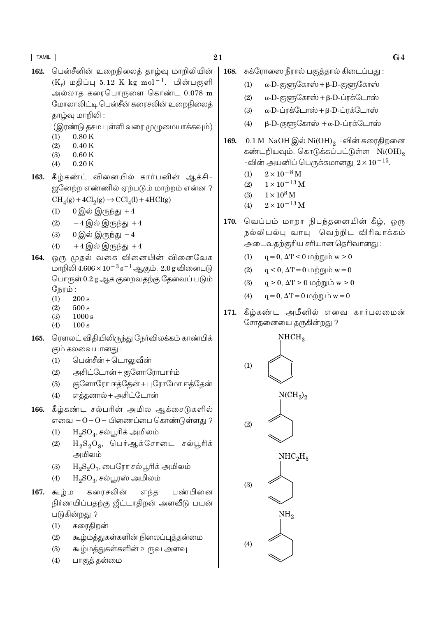- 21
- பென்சீனின் உறைநிலைக் காம்வு மாறிலியின் 162.  $(K_f)$  மதிப்பு 5.12 K kg mol<sup>-1</sup>. மின்பகுளி அல்லாத கரைபொருளை கொண்ட 0.078 m மோலாலிட்டி பென்சீன் கரைசலின் உறைநிலைத் தாழ்வு மாறிலி :
	- (இரண்டு தசம புள்ளி வரை முழுமையாக்கவும்)
	- $0.80K$  $(1)$
	- $0.40K$  $(2)$
	- $(3)$  $0.60K$
	- $0.20K$  $(4)$
- 163. கீழ்கண்ட் வினையில் கார்பனின் ஆக்சி-ஜனேற்ற எண்ணில் ஏற்படும் மாற்றம் என்ன ?  $\mathrm{CH}_4(g) + 4\mathrm{Cl}_2(g) \rightarrow \mathrm{CCl}_4(l) + 4\mathrm{HCl}(g)$ 
	- $(1)$  $0 \bigcirc \hat{\otimes} \hat{\otimes} (\overline{\mathfrak{n}})$ ந்து +4
	- $(2)$  $-4$  இல் இருந்து  $+4$
	- $0$  இல் இருந்து $-4$  $(3)$
	- $+4$  இல் இருந்து  $+4$  $(4)$
- ஒரு முதல் வகை வினையின் வினைவேக 164. மாறிலி  $4.606 \times 10^{-3}$  s<sup>-1</sup> ஆகும்.  $2.0$  g வினைபடு பொருள் 0.2 g ஆக குறைவதற்கு தேவைப் படும் நேரம்:
	- $(1)$  $200 s$
	- $(2)$  $500 s$
	- $(3)$  $1000 s$
	- $100 s$  $(4)$
- 165. ரௌலட் விதியிலிருந்து நோ்விலக்கம் காண்பிக் கும் கலவையானது :
	- பென்சீன் + டொலுவீன்  $(1)$
	- அசிட்டோன் + குளோரோபார்ம்  $(2)$
	- குளோரோ ஈத்தேன் + புரோமோ ஈத்தேன்  $(3)$
	- $(4)$ எத்தனால் + அசிட்டோன்
- 166. கீழ்கண்ட சல்பரின் அமில ஆக்சைடுகளில் எவை  $-0-0-$  பிணைப்பை கொண்டுள்ளது ?
	- $H_2SO_4$ , சல்பூரிக் அமிலம்  $(1)$
	- $H_2S_2O_8$ , பெர்ஆக்சோடை சல்பூரிக்  $(2)$ அமிலம்
	- $H_2S_2O_7$ , டைரோ சல்பூரிக் அமிலம்  $(3)$
	- $(4)$  $H_2SO_3$ , சல்பூரஸ் அமிலம்
- $167.$   $\frac{1}{2}$ கரைசலின் எந்த பண்பினை நிர்ணயிப்பதற்கு ஜீட்டாதிறன் அளவீடு பயன் படுகின்றது ?
	- கரைகிறன்  $(1)$
	- கூழ்மத்துகள்களின் நிலைப்புத்தன்மை  $(2)$
	- கூழ்மத்துகள்களின் உருவ அளவு  $(3)$
	- பாகுத் தன்மை  $(4)$
- சுக்ரோஸை நீரால் பகுக்கால் கிடைப்பது : 168.
	- $\alpha$ -D-குளூகோஸ் + β-D-குளூகோஸ்  $(1)$
	- $\alpha$ -D-குளுகோஸ் + β-D-ப்ரக்டோஸ்  $(2)$
	- $\alpha$ -D-ப்ரக்டோஸ் +  $\beta$ -D-ப்ரக்டோஸ்  $(3)$
	- $(4)$  $\beta$ -D-குளூகோஸ் +α-D-ப்ரக்டோஸ்
- 169. 0.1 M NaOH இல் Ni $(OH)_{2}$  -வின் கரைதிறனை கண்டறியவும். கொடுக்கப்பட்டுள்ள Ni(OH), -வின் அயனிப் பெருக்கமானது  $2 \times 10^{-15}$ .
	- $2 \times 10^{-8}$  M  $(1)$
	- $(2)$  $1 \times 10^{-13}$  M
	- $1\times10^8\,\rm M$  $(3)$
	- $2 \times 10^{-13}$  M  $(4)$
- வெப்பம் மாறா நிபந்தனையின் கீழ், ஒரு 170. நல்லியல்பு வாயு வெற்றிட விரிவாக்கம் அடைவதற்குரிய சரியான தெரிவானது:
	- $(1)$  $q = 0$ ,  $\Delta T < 0$  மற்றும் w > 0
	- $q < 0$ ,  $\Delta T = 0$  மற்றும்  $w = 0$  $(2)$
	- $(3)$  $q > 0$ ,  $\Delta T > 0$  மற்றும் w > 0
	- $q = 0$ ,  $\Delta T = 0$  மற்றும்  $w = 0$  $(4)$
- 171. கீழ்கண்ட அமீனில் எவை கார்பலமைன் சோதனையை தருகின்றது ?



### $G<sub>4</sub>$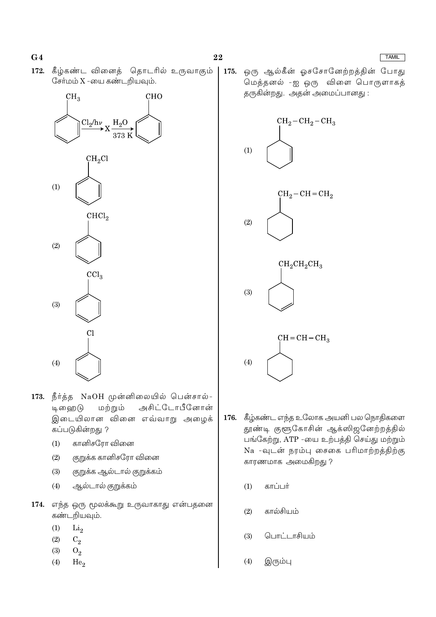172. கீழ்கண்ட வினைத் தொடரில் உருவாகும் சேர்மம்  $X$  -யை கண்டறியவும்.



- 173. நீர்த்த NaOH முன்னிலையில் பென்சால்-டி ஹை டு மற்றும் அசிட்டோபீனோன் இடையிலான வினை எவ்வாறு அழைக் கப்படுகின்றது ?
	- கானிசரோ வினை  $(1)$
	- குறுக்க கானிசரோ வினை  $(2)$
	- குறுக்க ஆல்டால் குறுக்கம்  $(3)$
	- ஆல்டால் குறுக்கம்  $(4)$
- 174. எந்த ஒரு மூலக்கூறு உருவாகாது என்பதனை கண்டறியவும்.
	- $(1)$  $Li<sub>2</sub>$
	- $(2)$  $C_2$
	- $(3)$  $O<sub>2</sub>$
	- $(4)$  $He<sub>2</sub>$

175. ஒரு ஆல்கீன் ஓசசோனேற்றத்தின் போது மெத்தனல் -ஐ ஒரு விளை பொருளாகத் தருகின்றது. அதன் அமைப்பானது :



- 176. கீழ்கண்ட எந்த உலோக அயனி பல நொதிகளை தூண்டி குளூகோசின் ஆக்ஸிஜனேற்றத்தில் பங்கேற்று, ATP -யை உற்பத்தி செய்து மற்றும் Na -வுடன் நரம்பு சைகை பரிமாற்றத்திற்கு காரணமாக அமைகிறது ?
	- $(1)$ காப்பர்
	- கால்சியம்  $(2)$
	- பொட்டாசியம்  $(3)$
	- இரும்பு  $(4)$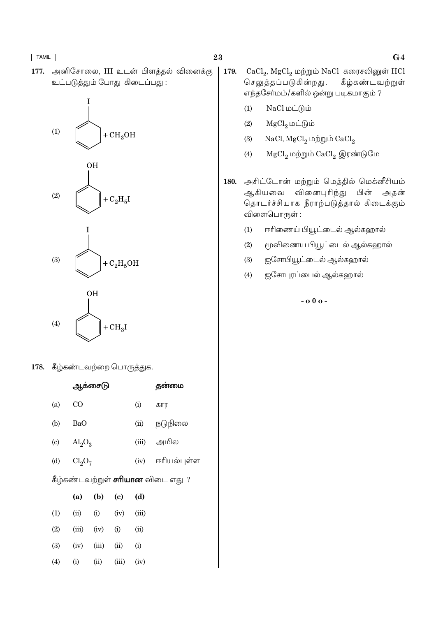அனிசோலை, HI உடன் பிளக்கல் வினைக்கு 177. உட்படுத்தும் போது கிடைப்பது :









178. கீழ்கண்டவற்றை பொருத்துக.

|                                           |                                | ஆக்சைடு   |       |       | தன்மை            |  |  |  |
|-------------------------------------------|--------------------------------|-----------|-------|-------|------------------|--|--|--|
| (a)                                       | CO                             |           |       | (i)   | கார              |  |  |  |
| (b)                                       | BaO                            |           |       | (ii)  | நடுநிலை          |  |  |  |
| (c)                                       | $\text{Al}_2\text{O}_3$        |           |       | (iii) | அமில             |  |  |  |
| (d)                                       | Cl <sub>2</sub> O <sub>7</sub> |           |       |       | (iv) ஈரியல்புள்ள |  |  |  |
| கீழ்கண்டவற்றுள் <b>சரியான</b> விடை எது  ? |                                |           |       |       |                  |  |  |  |
|                                           | (a)                            | $(b)$ (c) |       | (d)   |                  |  |  |  |
| (1)                                       | (ii)                           | (i)       | (iv)  | (iii) |                  |  |  |  |
| (2)                                       | (iii)                          | (iv)      | (i)   | (ii)  |                  |  |  |  |
| (3)                                       | (iv)                           | (iii)     | (ii)  | (i)   |                  |  |  |  |
| (4)                                       | (i)                            | (ii)      | (iii) | (iv)  |                  |  |  |  |
|                                           |                                |           |       |       |                  |  |  |  |

- $CaCl<sub>2</sub>$ , Mg $Cl<sub>2</sub>$  மற்றும் NaCl கரைசலினுள் HCl 179. செலுத்தப்படுகின்றது. கீழ்கண்டவற்றுள் எந்தசோ்மம்/களில் ஒன்று படிகமாகும் ?
	- $NaCl$  மட்டும்  $(1)$
	- $MgCl<sub>2</sub>$ மட்டும்  $(2)$
	- $(3)$  $NaCl, MgCl<sub>2</sub>$  மற்றும்  $CaCl<sub>2</sub>$
	- $(4)$  $MgCl_2$  மற்றும்  $CaCl_2$  இரண்டுமே
- அசிட்டோன் மற்றும் மெத்தில் மெக்னீசியம் 180. வினைபுரிந்து ஆகியவை பின் அதன் தொடர்ச்சியாக நீராற்படுத்தால் கிடைக்கும் விளைபொருள் :
	- ஈரிணைய் பியூட்டைல் ஆல்கஹால்  $(1)$
	- $(2)$ மூவிணைய பியூட்டைல் ஆல்கஹால்
	- $(3)$ ஐசோபியூட்டைல் ஆல்கஹால்
	- $(4)$ ஐசோபுரப்பைல் ஆல்கஹால்

 $-000-$